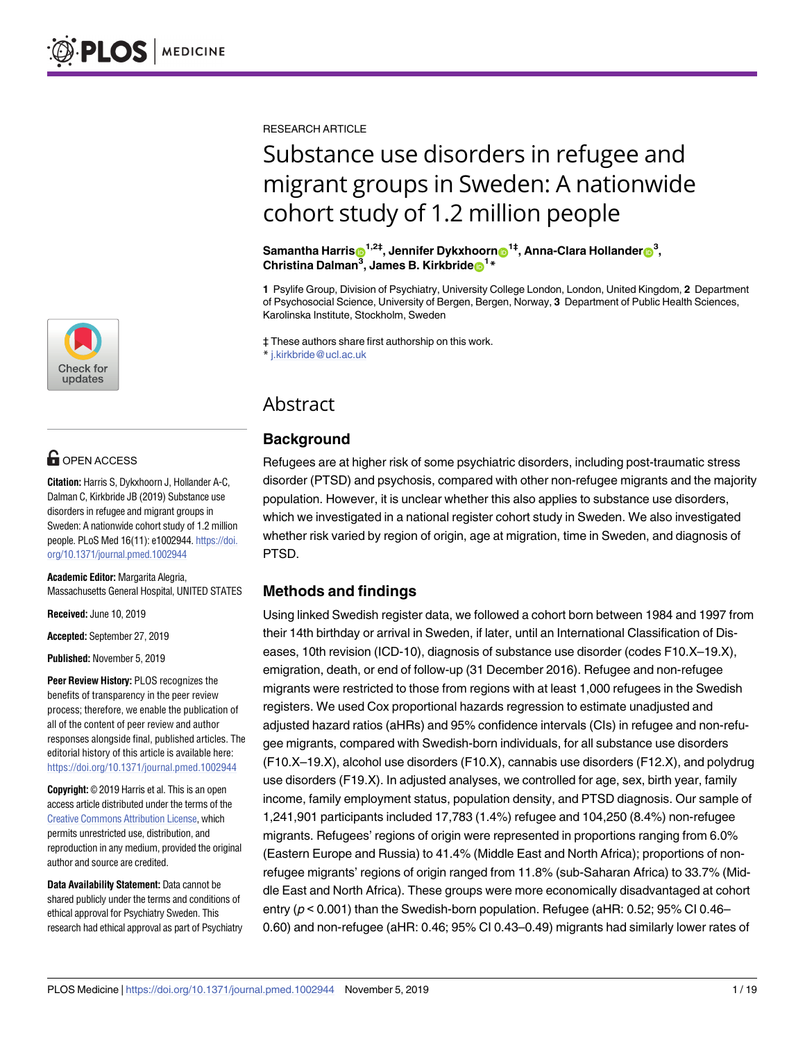

# **OPEN ACCESS**

**Citation:** Harris S, Dykxhoorn J, Hollander A-C, Dalman C, Kirkbride JB (2019) Substance use disorders in refugee and migrant groups in Sweden: A nationwide cohort study of 1.2 million people. PLoS Med 16(11): e1002944. [https://doi.](https://doi.org/10.1371/journal.pmed.1002944) [org/10.1371/journal.pmed.1002944](https://doi.org/10.1371/journal.pmed.1002944)

**Academic Editor:** Margarita Alegria, Massachusetts General Hospital, UNITED STATES

**Received:** June 10, 2019

**Accepted:** September 27, 2019

**Published:** November 5, 2019

**Peer Review History:** PLOS recognizes the benefits of transparency in the peer review process; therefore, we enable the publication of all of the content of peer review and author responses alongside final, published articles. The editorial history of this article is available here: <https://doi.org/10.1371/journal.pmed.1002944>

**Copyright:** © 2019 Harris et al. This is an open access article distributed under the terms of the Creative Commons [Attribution](http://creativecommons.org/licenses/by/4.0/) License, which permits unrestricted use, distribution, and reproduction in any medium, provided the original author and source are credited.

**Data Availability Statement:** Data cannot be shared publicly under the terms and conditions of ethical approval for Psychiatry Sweden. This research had ethical approval as part of Psychiatry RESEARCH ARTICLE

# Substance use disorders in refugee and migrant groups in Sweden: A nationwide cohort study of 1.2 million people

 $\delta$ Bamantha Harris $\mathbf{O}^{1,2\ddagger}$ , Jennifer Dykxhoorn $\mathbf{O}^{1\ddagger}$ , Anna-Clara Hollander $\mathbf{O}^{3,1}$ **Christina Dalman3 , James B. Kirkbride[ID1](http://orcid.org/0000-0003-3401-0824) \***

**1** Psylife Group, Division of Psychiatry, University College London, London, United Kingdom, **2** Department of Psychosocial Science, University of Bergen, Bergen, Norway, **3** Department of Public Health Sciences, Karolinska Institute, Stockholm, Sweden

‡ These authors share first authorship on this work. \* j.kirkbride@ucl.ac.uk

# Abstract

# **Background**

Refugees are at higher risk of some psychiatric disorders, including post-traumatic stress disorder (PTSD) and psychosis, compared with other non-refugee migrants and the majority population. However, it is unclear whether this also applies to substance use disorders, which we investigated in a national register cohort study in Sweden. We also investigated whether risk varied by region of origin, age at migration, time in Sweden, and diagnosis of PTSD.

# **Methods and findings**

Using linked Swedish register data, we followed a cohort born between 1984 and 1997 from their 14th birthday or arrival in Sweden, if later, until an International Classification of Diseases, 10th revision (ICD-10), diagnosis of substance use disorder (codes F10.X–19.X), emigration, death, or end of follow-up (31 December 2016). Refugee and non-refugee migrants were restricted to those from regions with at least 1,000 refugees in the Swedish registers. We used Cox proportional hazards regression to estimate unadjusted and adjusted hazard ratios (aHRs) and 95% confidence intervals (CIs) in refugee and non-refugee migrants, compared with Swedish-born individuals, for all substance use disorders (F10.X–19.X), alcohol use disorders (F10.X), cannabis use disorders (F12.X), and polydrug use disorders (F19.X). In adjusted analyses, we controlled for age, sex, birth year, family income, family employment status, population density, and PTSD diagnosis. Our sample of 1,241,901 participants included 17,783 (1.4%) refugee and 104,250 (8.4%) non-refugee migrants. Refugees' regions of origin were represented in proportions ranging from 6.0% (Eastern Europe and Russia) to 41.4% (Middle East and North Africa); proportions of nonrefugee migrants' regions of origin ranged from 11.8% (sub-Saharan Africa) to 33.7% (Middle East and North Africa). These groups were more economically disadvantaged at cohort entry  $(p < 0.001)$  than the Swedish-born population. Refugee (aHR: 0.52; 95% CI 0.46– 0.60) and non-refugee (aHR: 0.46; 95% CI 0.43–0.49) migrants had similarly lower rates of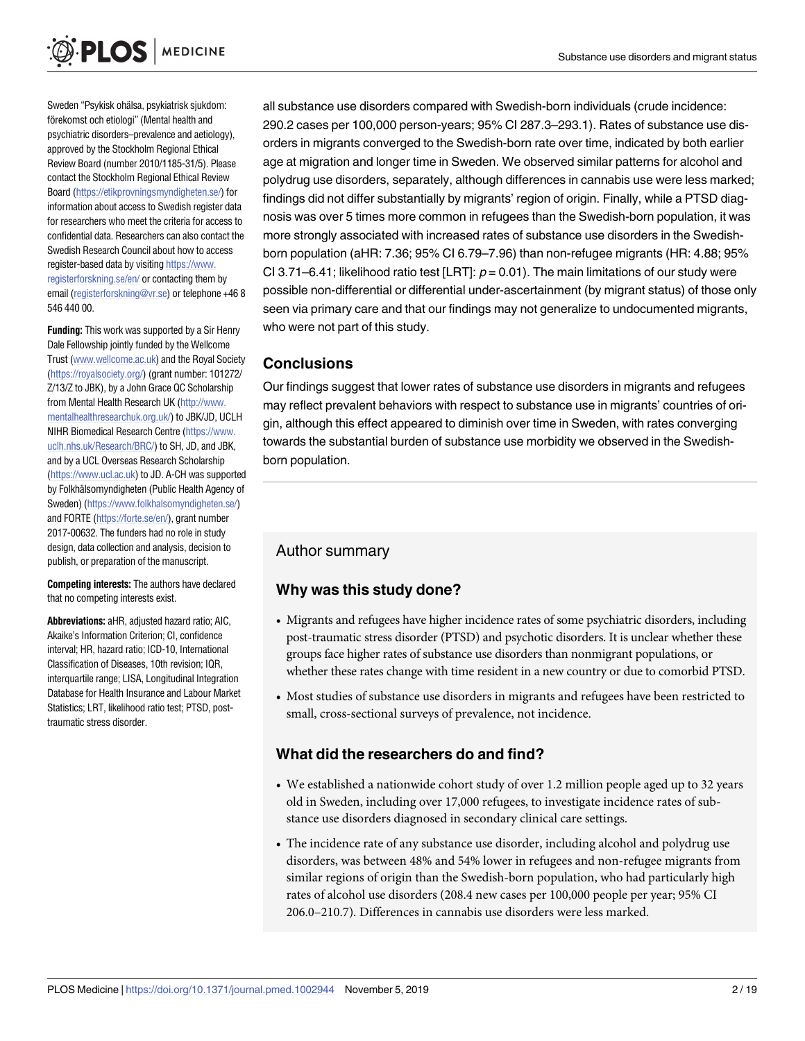Sweden "Psykisk ohälsa, psykiatrisk sjukdom: förekomst och etiologi" (Mental health and psychiatric disorders–prevalence and aetiology), approved by the Stockholm Regional Ethical Review Board (number 2010/1185-31/5). Please contact the Stockholm Regional Ethical Review Board [\(https://etikprovningsmyndigheten.se/\)](https://etikprovningsmyndigheten.se/) for information about access to Swedish register data for researchers who meet the criteria for access to confidential data. Researchers can also contact the Swedish Research Council about how to access register-based data by visiting [https://www.](https://www.registerforskning.se/en/) [registerforskning.se/en/](https://www.registerforskning.se/en/) or contacting them by email [\(registerforskning@vr.se\)](mailto:registerforskning@vr.se) or telephone +46 8 546 440 00.

**Funding:** This work was supported by a Sir Henry Dale Fellowship jointly funded by the Wellcome Trust ([www.wellcome.ac.uk](http://www.wellcome.ac.uk)) and the Royal Society [\(https://royalsociety.org/\)](https://royalsociety.org/) (grant number: 101272/ Z/13/Z to JBK), by a John Grace QC Scholarship from Mental Health Research UK [\(http://www.](http://www.mentalhealthresearchuk.org.uk/) [mentalhealthresearchuk.org.uk/\)](http://www.mentalhealthresearchuk.org.uk/) to JBK/JD, UCLH NIHR Biomedical Research Centre [\(https://www.](https://www.uclh.nhs.uk/Research/BRC/) [uclh.nhs.uk/Research/BRC/](https://www.uclh.nhs.uk/Research/BRC/)) to SH, JD, and JBK, and by a UCL Overseas Research Scholarship [\(https://www.ucl.ac.uk\)](https://www.ucl.ac.uk) to JD. A-CH was supported by Folkhälsomyndigheten (Public Health Agency of Sweden) [\(https://www.folkhalsomyndigheten.se/](https://www.folkhalsomyndigheten.se/)) and FORTE [\(https://forte.se/en/\)](https://forte.se/en/), grant number 2017-00632. The funders had no role in study design, data collection and analysis, decision to publish, or preparation of the manuscript.

**Competing interests:** The authors have declared that no competing interests exist.

**Abbreviations:** aHR, adjusted hazard ratio; AIC, Akaike's Information Criterion; CI, confidence interval; HR, hazard ratio; ICD-10, International Classification of Diseases, 10th revision; IQR, interquartile range; LISA, Longitudinal Integration Database for Health Insurance and Labour Market Statistics; LRT, likelihood ratio test; PTSD, posttraumatic stress disorder.

all substance use disorders compared with Swedish-born individuals (crude incidence: 290.2 cases per 100,000 person-years; 95% CI 287.3–293.1). Rates of substance use disorders in migrants converged to the Swedish-born rate over time, indicated by both earlier age at migration and longer time in Sweden. We observed similar patterns for alcohol and polydrug use disorders, separately, although differences in cannabis use were less marked; findings did not differ substantially by migrants' region of origin. Finally, while a PTSD diagnosis was over 5 times more common in refugees than the Swedish-born population, it was more strongly associated with increased rates of substance use disorders in the Swedishborn population (aHR: 7.36; 95% CI 6.79–7.96) than non-refugee migrants (HR: 4.88; 95% CI 3.71–6.41; likelihood ratio test [LRT]:  $p = 0.01$ ). The main limitations of our study were possible non-differential or differential under-ascertainment (by migrant status) of those only seen via primary care and that our findings may not generalize to undocumented migrants, who were not part of this study.

# **Conclusions**

Our findings suggest that lower rates of substance use disorders in migrants and refugees may reflect prevalent behaviors with respect to substance use in migrants' countries of origin, although this effect appeared to diminish over time in Sweden, with rates converging towards the substantial burden of substance use morbidity we observed in the Swedishborn population.

# Author summary

# **Why was this study done?**

- Migrants and refugees have higher incidence rates of some psychiatric disorders, including post-traumatic stress disorder (PTSD) and psychotic disorders. It is unclear whether these groups face higher rates of substance use disorders than nonmigrant populations, or whether these rates change with time resident in a new country or due to comorbid PTSD.
- Most studies of substance use disorders in migrants and refugees have been restricted to small, cross-sectional surveys of prevalence, not incidence.

# **What did the researchers do and find?**

- We established a nationwide cohort study of over 1.2 million people aged up to 32 years old in Sweden, including over 17,000 refugees, to investigate incidence rates of substance use disorders diagnosed in secondary clinical care settings.
- The incidence rate of any substance use disorder, including alcohol and polydrug use disorders, was between 48% and 54% lower in refugees and non-refugee migrants from similar regions of origin than the Swedish-born population, who had particularly high rates of alcohol use disorders (208.4 new cases per 100,000 people per year; 95% CI 206.0–210.7). Differences in cannabis use disorders were less marked.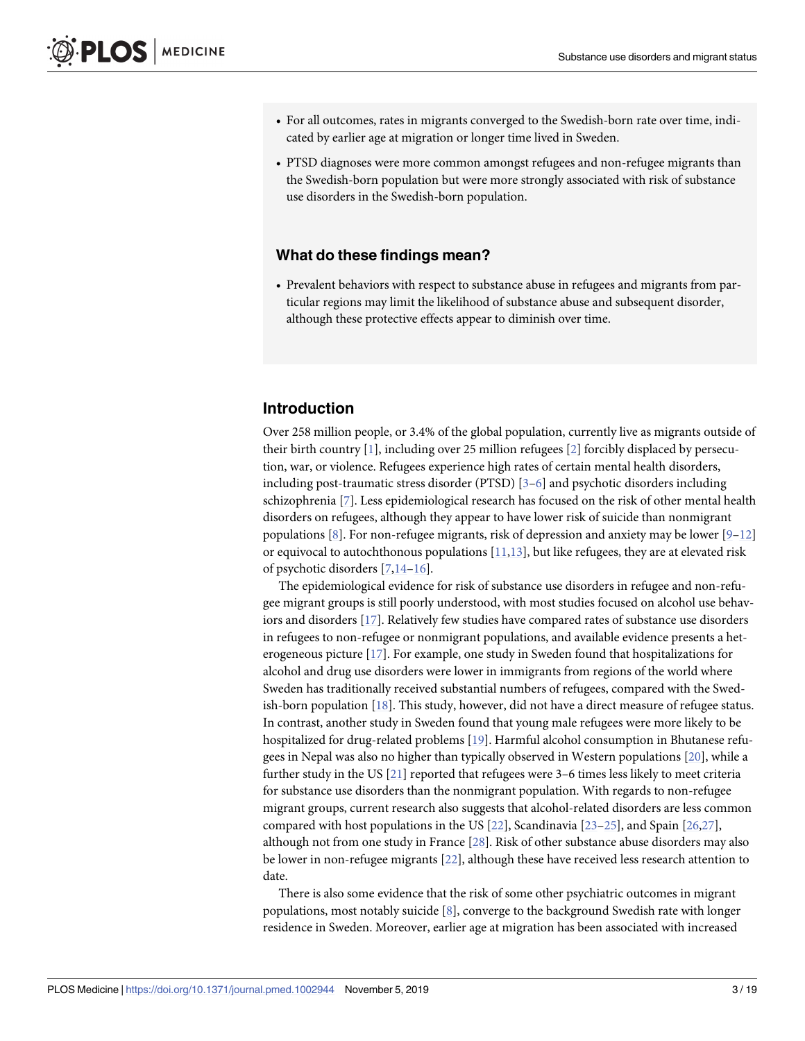- <span id="page-2-0"></span>• For all outcomes, rates in migrants converged to the Swedish-born rate over time, indicated by earlier age at migration or longer time lived in Sweden.
- PTSD diagnoses were more common amongst refugees and non-refugee migrants than the Swedish-born population but were more strongly associated with risk of substance use disorders in the Swedish-born population.

### **What do these findings mean?**

• Prevalent behaviors with respect to substance abuse in refugees and migrants from particular regions may limit the likelihood of substance abuse and subsequent disorder, although these protective effects appear to diminish over time.

# **Introduction**

Over 258 million people, or 3.4% of the global population, currently live as migrants outside of their birth country [[1\]](#page-16-0), including over 25 million refugees [\[2\]](#page-16-0) forcibly displaced by persecution, war, or violence. Refugees experience high rates of certain mental health disorders, including post-traumatic stress disorder (PTSD) [[3](#page-16-0)–[6](#page-16-0)] and psychotic disorders including schizophrenia [\[7](#page-16-0)]. Less epidemiological research has focused on the risk of other mental health disorders on refugees, although they appear to have lower risk of suicide than nonmigrant populations [[8\]](#page-16-0). For non-refugee migrants, risk of depression and anxiety may be lower  $[9-12]$  $[9-12]$  $[9-12]$  $[9-12]$ or equivocal to autochthonous populations  $[11,13]$  $[11,13]$ , but like refugees, they are at elevated risk of psychotic disorders [[7,](#page-16-0)[14](#page-17-0)–[16](#page-17-0)].

The epidemiological evidence for risk of substance use disorders in refugee and non-refugee migrant groups is still poorly understood, with most studies focused on alcohol use behaviors and disorders [\[17\]](#page-17-0). Relatively few studies have compared rates of substance use disorders in refugees to non-refugee or nonmigrant populations, and available evidence presents a heterogeneous picture [[17](#page-17-0)]. For example, one study in Sweden found that hospitalizations for alcohol and drug use disorders were lower in immigrants from regions of the world where Sweden has traditionally received substantial numbers of refugees, compared with the Swedish-born population [[18](#page-17-0)]. This study, however, did not have a direct measure of refugee status. In contrast, another study in Sweden found that young male refugees were more likely to be hospitalized for drug-related problems [\[19](#page-17-0)]. Harmful alcohol consumption in Bhutanese refugees in Nepal was also no higher than typically observed in Western populations [[20](#page-17-0)], while a further study in the US  $[21]$  $[21]$  $[21]$  reported that refugees were 3–6 times less likely to meet criteria for substance use disorders than the nonmigrant population. With regards to non-refugee migrant groups, current research also suggests that alcohol-related disorders are less common compared with host populations in the US  $[22]$  $[22]$  $[22]$ , Scandinavia  $[23-25]$  $[23-25]$  $[23-25]$  $[23-25]$ , and Spain  $[26,27]$ , although not from one study in France [\[28\]](#page-17-0). Risk of other substance abuse disorders may also be lower in non-refugee migrants [[22](#page-17-0)], although these have received less research attention to date.

There is also some evidence that the risk of some other psychiatric outcomes in migrant populations, most notably suicide [[8](#page-16-0)], converge to the background Swedish rate with longer residence in Sweden. Moreover, earlier age at migration has been associated with increased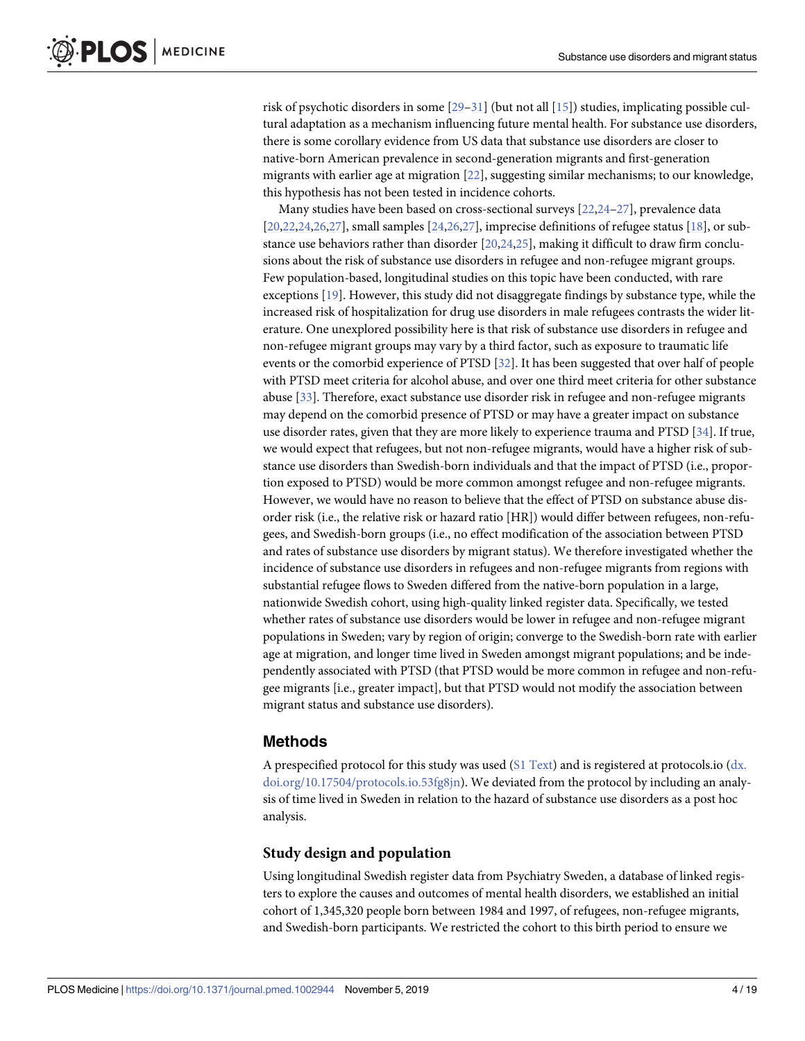<span id="page-3-0"></span>risk of psychotic disorders in some [[29](#page-17-0)[–31\]](#page-18-0) (but not all [\[15\]](#page-17-0)) studies, implicating possible cultural adaptation as a mechanism influencing future mental health. For substance use disorders, there is some corollary evidence from US data that substance use disorders are closer to native-born American prevalence in second-generation migrants and first-generation migrants with earlier age at migration [[22](#page-17-0)], suggesting similar mechanisms; to our knowledge, this hypothesis has not been tested in incidence cohorts.

Many studies have been based on cross-sectional surveys [[22](#page-17-0),24-27], prevalence data [\[20,22,24](#page-17-0),[26,27\]](#page-17-0), small samples [\[24,26,27](#page-17-0)], imprecise definitions of refugee status [\[18\]](#page-17-0), or substance use behaviors rather than disorder  $[20,24,25]$  $[20,24,25]$  $[20,24,25]$  $[20,24,25]$ , making it difficult to draw firm conclusions about the risk of substance use disorders in refugee and non-refugee migrant groups. Few population-based, longitudinal studies on this topic have been conducted, with rare exceptions [\[19](#page-17-0)]. However, this study did not disaggregate findings by substance type, while the increased risk of hospitalization for drug use disorders in male refugees contrasts the wider literature. One unexplored possibility here is that risk of substance use disorders in refugee and non-refugee migrant groups may vary by a third factor, such as exposure to traumatic life events or the comorbid experience of PTSD [\[32\]](#page-18-0). It has been suggested that over half of people with PTSD meet criteria for alcohol abuse, and over one third meet criteria for other substance abuse [\[33\]](#page-18-0). Therefore, exact substance use disorder risk in refugee and non-refugee migrants may depend on the comorbid presence of PTSD or may have a greater impact on substance use disorder rates, given that they are more likely to experience trauma and PTSD [[34](#page-18-0)]. If true, we would expect that refugees, but not non-refugee migrants, would have a higher risk of substance use disorders than Swedish-born individuals and that the impact of PTSD (i.e., proportion exposed to PTSD) would be more common amongst refugee and non-refugee migrants. However, we would have no reason to believe that the effect of PTSD on substance abuse disorder risk (i.e., the relative risk or hazard ratio [HR]) would differ between refugees, non-refugees, and Swedish-born groups (i.e., no effect modification of the association between PTSD and rates of substance use disorders by migrant status). We therefore investigated whether the incidence of substance use disorders in refugees and non-refugee migrants from regions with substantial refugee flows to Sweden differed from the native-born population in a large, nationwide Swedish cohort, using high-quality linked register data. Specifically, we tested whether rates of substance use disorders would be lower in refugee and non-refugee migrant populations in Sweden; vary by region of origin; converge to the Swedish-born rate with earlier age at migration, and longer time lived in Sweden amongst migrant populations; and be independently associated with PTSD (that PTSD would be more common in refugee and non-refugee migrants [i.e., greater impact], but that PTSD would not modify the association between migrant status and substance use disorders).

# **Methods**

A prespecified protocol for this study was used ( $S1$  [Text](#page-15-0)) and is registered at protocols.io ( $dx$ . [doi.org/10.17504/protocols.io.53fg8jn](http://dx.doi.org/10.17504/protocols.io.53fg8jn)). We deviated from the protocol by including an analysis of time lived in Sweden in relation to the hazard of substance use disorders as a post hoc analysis.

# **Study design and population**

Using longitudinal Swedish register data from Psychiatry Sweden, a database of linked registers to explore the causes and outcomes of mental health disorders, we established an initial cohort of 1,345,320 people born between 1984 and 1997, of refugees, non-refugee migrants, and Swedish-born participants. We restricted the cohort to this birth period to ensure we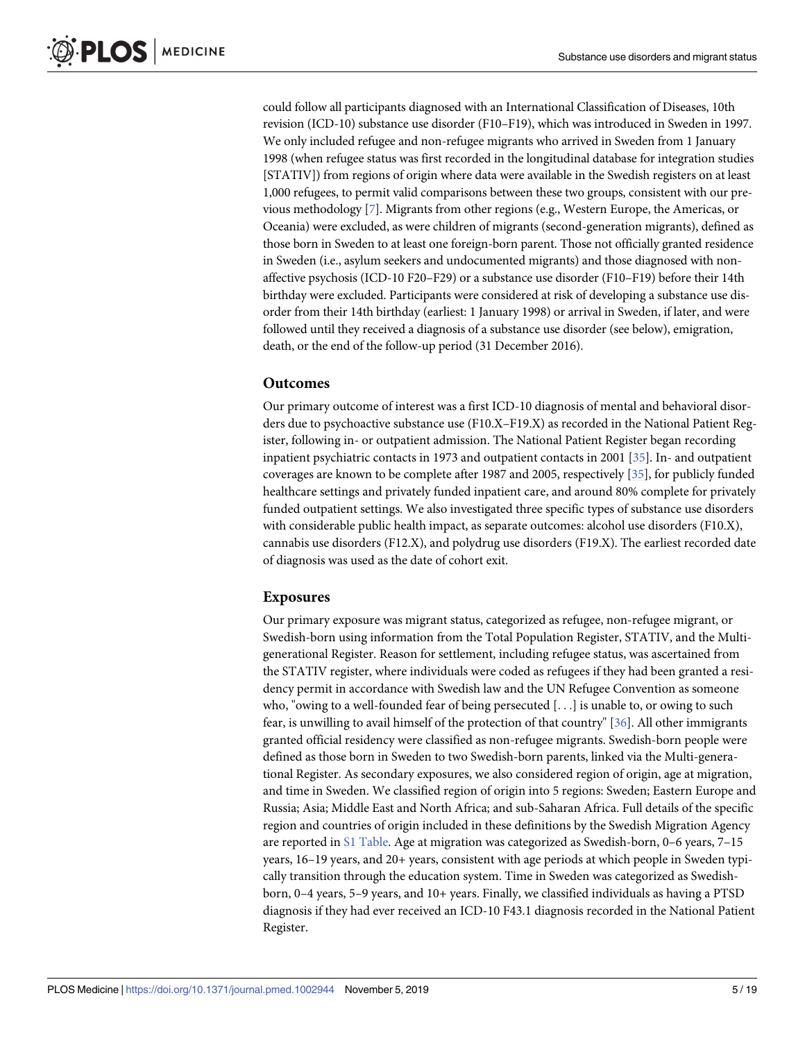<span id="page-4-0"></span>could follow all participants diagnosed with an International Classification of Diseases, 10th revision (ICD-10) substance use disorder (F10–F19), which was introduced in Sweden in 1997. We only included refugee and non-refugee migrants who arrived in Sweden from 1 January 1998 (when refugee status was first recorded in the longitudinal database for integration studies [STATIV]) from regions of origin where data were available in the Swedish registers on at least 1,000 refugees, to permit valid comparisons between these two groups, consistent with our previous methodology [[7\]](#page-16-0). Migrants from other regions (e.g., Western Europe, the Americas, or Oceania) were excluded, as were children of migrants (second-generation migrants), defined as those born in Sweden to at least one foreign-born parent. Those not officially granted residence in Sweden (i.e., asylum seekers and undocumented migrants) and those diagnosed with nonaffective psychosis (ICD-10 F20–F29) or a substance use disorder (F10–F19) before their 14th birthday were excluded. Participants were considered at risk of developing a substance use disorder from their 14th birthday (earliest: 1 January 1998) or arrival in Sweden, if later, and were followed until they received a diagnosis of a substance use disorder (see below), emigration, death, or the end of the follow-up period (31 December 2016).

### **Outcomes**

Our primary outcome of interest was a first ICD-10 diagnosis of mental and behavioral disorders due to psychoactive substance use (F10.X–F19.X) as recorded in the National Patient Register, following in- or outpatient admission. The National Patient Register began recording inpatient psychiatric contacts in 1973 and outpatient contacts in 2001 [\[35\]](#page-18-0). In- and outpatient coverages are known to be complete after 1987 and 2005, respectively [[35](#page-18-0)], for publicly funded healthcare settings and privately funded inpatient care, and around 80% complete for privately funded outpatient settings. We also investigated three specific types of substance use disorders with considerable public health impact, as separate outcomes: alcohol use disorders (F10.X), cannabis use disorders (F12.X), and polydrug use disorders (F19.X). The earliest recorded date of diagnosis was used as the date of cohort exit.

### **Exposures**

Our primary exposure was migrant status, categorized as refugee, non-refugee migrant, or Swedish-born using information from the Total Population Register, STATIV, and the Multigenerational Register. Reason for settlement, including refugee status, was ascertained from the STATIV register, where individuals were coded as refugees if they had been granted a residency permit in accordance with Swedish law and the UN Refugee Convention as someone who, "owing to a well-founded fear of being persecuted [. . .] is unable to, or owing to such fear, is unwilling to avail himself of the protection of that country" [\[36\]](#page-18-0). All other immigrants granted official residency were classified as non-refugee migrants. Swedish-born people were defined as those born in Sweden to two Swedish-born parents, linked via the Multi-generational Register. As secondary exposures, we also considered region of origin, age at migration, and time in Sweden. We classified region of origin into 5 regions: Sweden; Eastern Europe and Russia; Asia; Middle East and North Africa; and sub-Saharan Africa. Full details of the specific region and countries of origin included in these definitions by the Swedish Migration Agency are reported in S1 [Table](#page-15-0). Age at migration was categorized as Swedish-born, 0–6 years, 7–15 years, 16–19 years, and 20+ years, consistent with age periods at which people in Sweden typically transition through the education system. Time in Sweden was categorized as Swedishborn, 0–4 years, 5–9 years, and 10+ years. Finally, we classified individuals as having a PTSD diagnosis if they had ever received an ICD-10 F43.1 diagnosis recorded in the National Patient Register.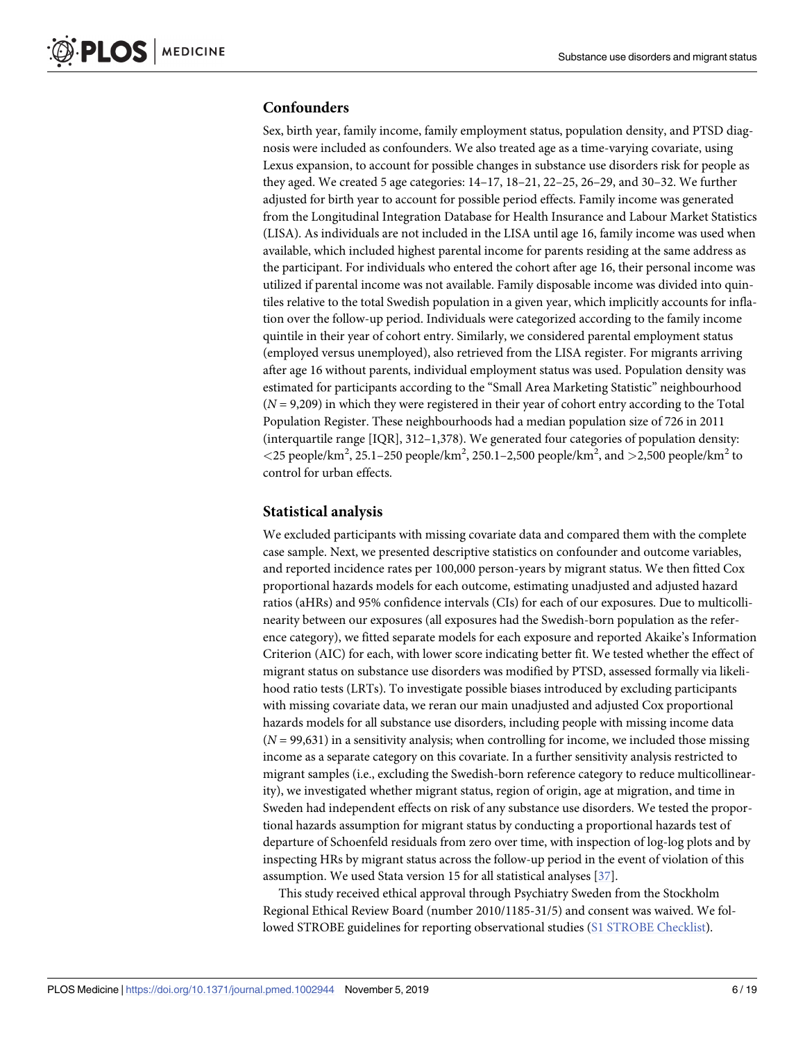# <span id="page-5-0"></span>**Confounders**

Sex, birth year, family income, family employment status, population density, and PTSD diagnosis were included as confounders. We also treated age as a time-varying covariate, using Lexus expansion, to account for possible changes in substance use disorders risk for people as they aged. We created 5 age categories: 14–17, 18–21, 22–25, 26–29, and 30–32. We further adjusted for birth year to account for possible period effects. Family income was generated from the Longitudinal Integration Database for Health Insurance and Labour Market Statistics (LISA). As individuals are not included in the LISA until age 16, family income was used when available, which included highest parental income for parents residing at the same address as the participant. For individuals who entered the cohort after age 16, their personal income was utilized if parental income was not available. Family disposable income was divided into quintiles relative to the total Swedish population in a given year, which implicitly accounts for inflation over the follow-up period. Individuals were categorized according to the family income quintile in their year of cohort entry. Similarly, we considered parental employment status (employed versus unemployed), also retrieved from the LISA register. For migrants arriving after age 16 without parents, individual employment status was used. Population density was estimated for participants according to the "Small Area Marketing Statistic" neighbourhood (*N* = 9,209) in which they were registered in their year of cohort entry according to the Total Population Register. These neighbourhoods had a median population size of 726 in 2011 (interquartile range [IQR], 312–1,378). We generated four categories of population density:  $\langle$  <25 people/km<sup>2</sup>, 25.1–250 people/km<sup>2</sup>, 250.1–2,500 people/km<sup>2</sup>, and >2,500 people/km<sup>2</sup> to control for urban effects.

# **Statistical analysis**

We excluded participants with missing covariate data and compared them with the complete case sample. Next, we presented descriptive statistics on confounder and outcome variables, and reported incidence rates per 100,000 person-years by migrant status. We then fitted Cox proportional hazards models for each outcome, estimating unadjusted and adjusted hazard ratios (aHRs) and 95% confidence intervals (CIs) for each of our exposures. Due to multicollinearity between our exposures (all exposures had the Swedish-born population as the reference category), we fitted separate models for each exposure and reported Akaike's Information Criterion (AIC) for each, with lower score indicating better fit. We tested whether the effect of migrant status on substance use disorders was modified by PTSD, assessed formally via likelihood ratio tests (LRTs). To investigate possible biases introduced by excluding participants with missing covariate data, we reran our main unadjusted and adjusted Cox proportional hazards models for all substance use disorders, including people with missing income data  $(N = 99,631)$  in a sensitivity analysis; when controlling for income, we included those missing income as a separate category on this covariate. In a further sensitivity analysis restricted to migrant samples (i.e., excluding the Swedish-born reference category to reduce multicollinearity), we investigated whether migrant status, region of origin, age at migration, and time in Sweden had independent effects on risk of any substance use disorders. We tested the proportional hazards assumption for migrant status by conducting a proportional hazards test of departure of Schoenfeld residuals from zero over time, with inspection of log-log plots and by inspecting HRs by migrant status across the follow-up period in the event of violation of this assumption. We used Stata version 15 for all statistical analyses [\[37\]](#page-18-0).

This study received ethical approval through Psychiatry Sweden from the Stockholm Regional Ethical Review Board (number 2010/1185-31/5) and consent was waived. We followed STROBE guidelines for reporting observational studies (S1 STROBE [Checklist\)](#page-15-0).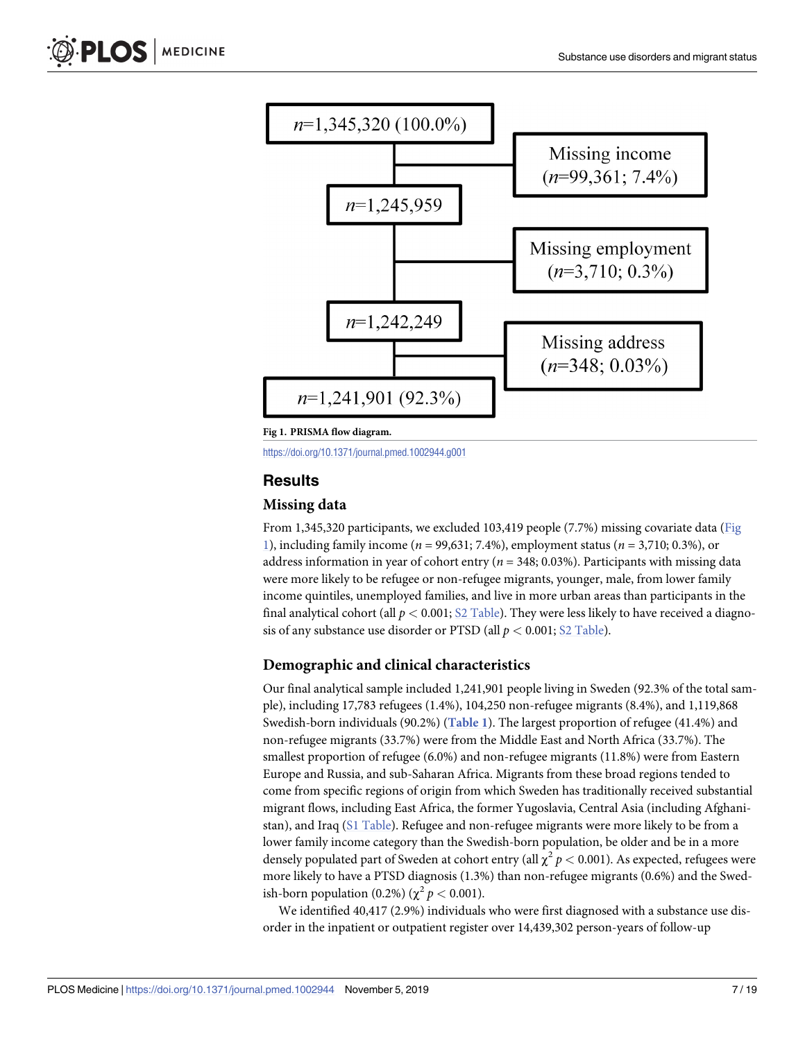<span id="page-6-0"></span>

**Fig 1. PRISMA flow diagram.**

<https://doi.org/10.1371/journal.pmed.1002944.g001>

# **Results**

### **Missing data**

From 1,345,320 participants, we excluded 103,419 people (7.7%) missing covariate data (Fig 1), including family income (*n* = 99,631; 7.4%), employment status (*n* = 3,710; 0.3%), or address information in year of cohort entry (*n* = 348; 0.03%). Participants with missing data were more likely to be refugee or non-refugee migrants, younger, male, from lower family income quintiles, unemployed families, and live in more urban areas than participants in the final analytical cohort (all  $p < 0.001$ ; S2 [Table](#page-15-0)). They were less likely to have received a diagnosis of any substance use disorder or PTSD (all *p <* 0.001; S2 [Table](#page-15-0)).

# **Demographic and clinical characteristics**

Our final analytical sample included 1,241,901 people living in Sweden (92.3% of the total sample), including 17,783 refugees (1.4%), 104,250 non-refugee migrants (8.4%), and 1,119,868 Swedish-born individuals (90.2%) (**[Table](#page-7-0) 1**). The largest proportion of refugee (41.4%) and non-refugee migrants (33.7%) were from the Middle East and North Africa (33.7%). The smallest proportion of refugee (6.0%) and non-refugee migrants (11.8%) were from Eastern Europe and Russia, and sub-Saharan Africa. Migrants from these broad regions tended to come from specific regions of origin from which Sweden has traditionally received substantial migrant flows, including East Africa, the former Yugoslavia, Central Asia (including Afghanistan), and Iraq (S1 [Table\)](#page-15-0). Refugee and non-refugee migrants were more likely to be from a lower family income category than the Swedish-born population, be older and be in a more densely populated part of Sweden at cohort entry (all  $\chi^2 p < 0.001$ ). As expected, refugees were more likely to have a PTSD diagnosis (1.3%) than non-refugee migrants (0.6%) and the Swedish-born population (0.2%) ( $\chi^2 p < 0.001$ ).

We identified 40,417 (2.9%) individuals who were first diagnosed with a substance use disorder in the inpatient or outpatient register over 14,439,302 person-years of follow-up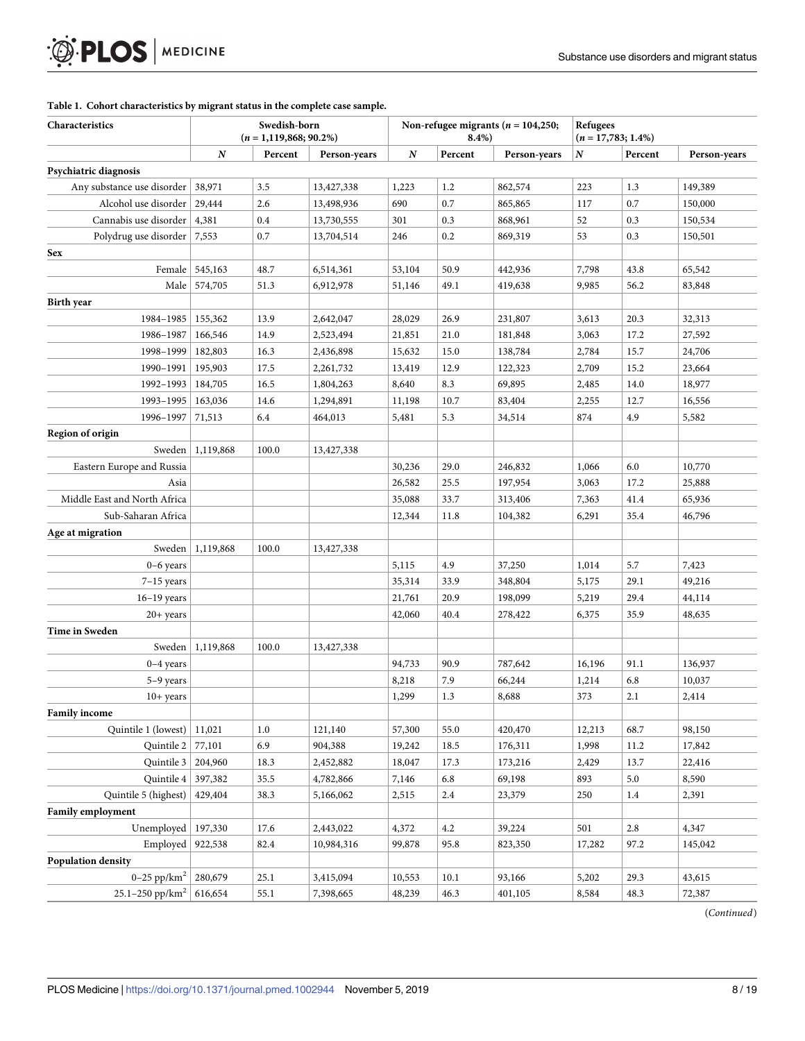<span id="page-7-0"></span>

| DI MEDICINE |  |
|-------------|--|
|-------------|--|

| Characteristics                     |                  | Swedish-born<br>$(n = 1, 119, 868; 90.2\%)$ |              |                  | $8.4\%$ | Non-refugee migrants ( $n = 104,250$ ; | Refugees<br>$(n = 17,783; 1.4\%)$ |         |              |
|-------------------------------------|------------------|---------------------------------------------|--------------|------------------|---------|----------------------------------------|-----------------------------------|---------|--------------|
|                                     | $\boldsymbol{N}$ | Percent                                     | Person-years | $\boldsymbol{N}$ | Percent | Person-years                           | $\boldsymbol{N}$                  | Percent | Person-years |
| Psychiatric diagnosis               |                  |                                             |              |                  |         |                                        |                                   |         |              |
| Any substance use disorder   38,971 |                  | 3.5                                         | 13,427,338   | 1,223            | 1.2     | 862,574                                | 223                               | 1.3     | 149,389      |
| Alcohol use disorder                | 29,444           | 2.6                                         | 13,498,936   | 690              | 0.7     | 865,865                                | 117                               | 0.7     | 150,000      |
| Cannabis use disorder               | 4,381            | 0.4                                         | 13,730,555   | 301              | 0.3     | 868,961                                | 52                                | 0.3     | 150,534      |
| Polydrug use disorder   7,553       |                  | 0.7                                         | 13,704,514   | 246              | 0.2     | 869,319                                | 53                                | 0.3     | 150,501      |
| Sex                                 |                  |                                             |              |                  |         |                                        |                                   |         |              |
| Female                              | 545,163          | 48.7                                        | 6,514,361    | 53,104           | 50.9    | 442,936                                | 7,798                             | 43.8    | 65,542       |
| Male                                | 574,705          | 51.3                                        | 6,912,978    | 51,146           | 49.1    | 419,638                                | 9,985                             | 56.2    | 83,848       |
| <b>Birth year</b>                   |                  |                                             |              |                  |         |                                        |                                   |         |              |
| 1984-1985                           | 155,362          | 13.9                                        | 2,642,047    | 28,029           | 26.9    | 231,807                                | 3,613                             | 20.3    | 32,313       |
| 1986-1987                           | 166,546          | 14.9                                        | 2,523,494    | 21,851           | 21.0    | 181,848                                | 3,063                             | 17.2    | 27,592       |
| 1998-1999                           | 182,803          | 16.3                                        | 2,436,898    | 15,632           | 15.0    | 138,784                                | 2,784                             | 15.7    | 24,706       |
| 1990-1991                           | 195,903          | 17.5                                        | 2,261,732    | 13,419           | 12.9    | 122,323                                | 2,709                             | 15.2    | 23,664       |
| 1992-1993                           | 184,705          | 16.5                                        | 1,804,263    | 8,640            | 8.3     | 69,895                                 | 2,485                             | 14.0    | 18,977       |
| 1993–1995                           | 163,036          | 14.6                                        | 1,294,891    | 11,198           | 10.7    | 83,404                                 | 2,255                             | 12.7    | 16,556       |
| 1996–1997                           | 71,513           | 6.4                                         | 464,013      | 5,481            | 5.3     | 34,514                                 | 874                               | 4.9     | 5,582        |
| Region of origin                    |                  |                                             |              |                  |         |                                        |                                   |         |              |
| Sweden                              | 1,119,868        | 100.0                                       | 13,427,338   |                  |         |                                        |                                   |         |              |
| Eastern Europe and Russia           |                  |                                             |              | 30,236           | 29.0    | 246,832                                | 1,066                             | 6.0     | 10,770       |
| Asia                                |                  |                                             |              | 26,582           | 25.5    | 197,954                                | 3,063                             | 17.2    | 25,888       |
| Middle East and North Africa        |                  |                                             |              | 35,088           | 33.7    | 313,406                                | 7,363                             | 41.4    | 65,936       |
| Sub-Saharan Africa                  |                  |                                             |              | 12,344           | 11.8    | 104,382                                | 6,291                             | 35.4    | 46,796       |
| Age at migration                    |                  |                                             |              |                  |         |                                        |                                   |         |              |
| Sweden                              | 1,119,868        | 100.0                                       | 13,427,338   |                  |         |                                        |                                   |         |              |
| $0-6$ years                         |                  |                                             |              | 5,115            | 4.9     | 37,250                                 | 1,014                             | 5.7     | 7,423        |
| $7-15$ years                        |                  |                                             |              | 35,314           | 33.9    | 348,804                                | 5,175                             | 29.1    | 49,216       |
| $16-19$ years                       |                  |                                             |              | 21,761           | 20.9    | 198,099                                | 5,219                             | 29.4    | 44,114       |
| $20+ years$                         |                  |                                             |              | 42,060           | 40.4    | 278,422                                | 6,375                             | 35.9    | 48,635       |
| Time in Sweden                      |                  |                                             |              |                  |         |                                        |                                   |         |              |
| Sweden                              | 1,119,868        | 100.0                                       | 13,427,338   |                  |         |                                        |                                   |         |              |
| $0-4$ years                         |                  |                                             |              | 94,733           | 90.9    | 787,642                                | 16,196                            | 91.1    | 136,937      |
| 5-9 years                           |                  |                                             |              | 8,218            | 7.9     | 66,244                                 | 1,214                             | 6.8     | 10,037       |
| $10+$ years                         |                  |                                             |              | 1,299            | 1.3     | 8,688                                  | 373                               | 2.1     | 2,414        |
| <b>Family income</b>                |                  |                                             |              |                  |         |                                        |                                   |         |              |
| Quintile 1 (lowest) $  11,021$      |                  | $1.0\,$                                     | 121,140      | 57,300           | 55.0    | 420,470                                | 12,213                            | 68.7    | 98,150       |
| Quintile 2                          | 77,101           | 6.9                                         | 904,388      | 19,242           | 18.5    | 176,311                                | 1,998                             | 11.2    | 17,842       |
| Quintile 3                          | 204,960          | 18.3                                        | 2,452,882    | 18,047           | 17.3    | 173,216                                | 2,429                             | 13.7    | 22,416       |
| Quintile $4$                        | 397,382          | 35.5                                        | 4,782,866    | 7,146            | 6.8     | 69,198                                 | 893                               | 5.0     | 8,590        |
| Quintile 5 (highest)                | 429,404          | 38.3                                        | 5,166,062    | 2,515            | 2.4     | 23,379                                 | 250                               | $1.4\,$ | 2,391        |
| <b>Family employment</b>            |                  |                                             |              |                  |         |                                        |                                   |         |              |
| Unemployed   $197,330$              |                  | 17.6                                        | 2,443,022    | 4,372            | 4.2     | 39,224                                 | 501                               | 2.8     | 4,347        |
| Employed                            | 922,538          | 82.4                                        | 10,984,316   | 99,878           | 95.8    | 823,350                                | 17,282                            | 97.2    | 145,042      |
| <b>Population density</b>           |                  |                                             |              |                  |         |                                        |                                   |         |              |
| 0-25 pp/ $km^2$                     | 280,679          | 25.1                                        | 3,415,094    | 10,553           | 10.1    | 93,166                                 | 5,202                             | 29.3    | 43,615       |
| 25.1-250 pp/km <sup>2</sup>         | 616,654          | 55.1                                        | 7,398,665    | 48,239           | 46.3    | 401,105                                | 8,584                             | 48.3    | 72,387       |

# **[Table](#page-6-0) 1. Cohort characteristics by migrant status in the complete case sample.**

(*Continued*)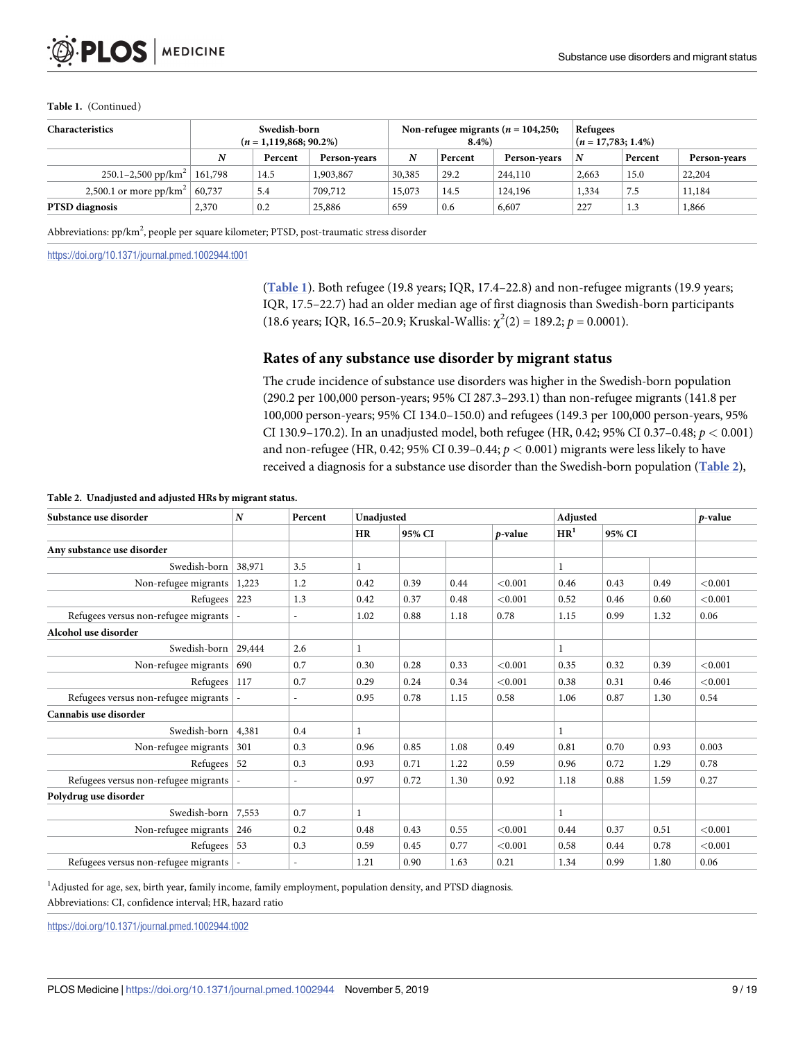#### <span id="page-8-0"></span>**Table 1.** (Continued)

| <b>Characteristics</b>                      | Swedish-born<br>$(n = 1, 119, 868; 90.2\%)$ |                         |          |        | $8.4\%$ | Non-refugee migrants ( $n = 104,250$ ; | Refugees<br>$(n = 17,783; 1.4\%)$ |         |              |
|---------------------------------------------|---------------------------------------------|-------------------------|----------|--------|---------|----------------------------------------|-----------------------------------|---------|--------------|
|                                             | N                                           | Percent<br>Person-vears |          | N      | Percent | Person-vears                           | N                                 | Percent | Person-vears |
| $250.1 - 2500$ pp/km <sup>2</sup>   161,798 |                                             | 14.5                    | ,903,867 | 30,385 | 29.2    | 244,110                                | 2,663                             | 15.0    | 22,204       |
| 2,500.1 or more $pp/km^2$                   | 60,737                                      | 5.4                     | 709,712  | 15,073 | 14.5    | 124,196                                | 1,334                             | 7.5     | 11,184       |
| <b>PTSD</b> diagnosis                       | 2,370                                       | 0.2                     | 25,886   | 659    | 0.6     | 6,607                                  | 227                               | 1.3     | 1,866        |

Abbreviations: pp/km<sup>2</sup>, people per square kilometer; PTSD, post-traumatic stress disorder

<https://doi.org/10.1371/journal.pmed.1002944.t001>

(**[Table](#page-7-0) 1**). Both refugee (19.8 years; IQR, 17.4–22.8) and non-refugee migrants (19.9 years; IQR, 17.5–22.7) had an older median age of first diagnosis than Swedish-born participants (18.6 years; IQR, 16.5–20.9; Kruskal-Wallis:  $\chi^2(2) = 189.2$ ;  $p = 0.0001$ ).

### **Rates of any substance use disorder by migrant status**

The crude incidence of substance use disorders was higher in the Swedish-born population (290.2 per 100,000 person-years; 95% CI 287.3–293.1) than non-refugee migrants (141.8 per 100,000 person-years; 95% CI 134.0–150.0) and refugees (149.3 per 100,000 person-years, 95% CI 130.9–170.2). In an unadjusted model, both refugee (HR, 0.42; 95% CI 0.37–0.48; *p <* 0.001) and non-refugee (HR, 0.42; 95% CI 0.39–0.44; *p <* 0.001) migrants were less likely to have received a diagnosis for a substance use disorder than the Swedish-born population (**Table 2**),

#### **Table 2. Unadjusted and adjusted HRs by migrant status.**

| Substance use disorder               | $\boldsymbol{N}$ | Percent | Unadjusted   |      |        |         | Adjusted        |        |      | p-value |
|--------------------------------------|------------------|---------|--------------|------|--------|---------|-----------------|--------|------|---------|
|                                      |                  |         | <b>HR</b>    |      | 95% CI |         | HR <sup>1</sup> | 95% CI |      |         |
| Any substance use disorder           |                  |         |              |      |        |         |                 |        |      |         |
| Swedish-born                         | 38,971           | 3.5     | 1            |      |        |         |                 |        |      |         |
| Non-refugee migrants                 | 1,223            | 1.2     | 0.42         | 0.39 | 0.44   | < 0.001 | 0.46            | 0.43   | 0.49 | < 0.001 |
| Refugees                             | 223              | 1.3     | 0.42         | 0.37 | 0.48   | < 0.001 | 0.52            | 0.46   | 0.60 | < 0.001 |
| Refugees versus non-refugee migrants |                  |         | 1.02         | 0.88 | 1.18   | 0.78    | 1.15            | 0.99   | 1.32 | 0.06    |
| Alcohol use disorder                 |                  |         |              |      |        |         |                 |        |      |         |
| Swedish-born                         | 29,444           | 2.6     | 1            |      |        |         | 1               |        |      |         |
| Non-refugee migrants                 | 690              | 0.7     | 0.30         | 0.28 | 0.33   | < 0.001 | 0.35            | 0.32   | 0.39 | < 0.001 |
| Refugees                             | 117              | 0.7     | 0.29         | 0.24 | 0.34   | < 0.001 | 0.38            | 0.31   | 0.46 | < 0.001 |
| Refugees versus non-refugee migrants |                  |         | 0.95         | 0.78 | 1.15   | 0.58    | 1.06            | 0.87   | 1.30 | 0.54    |
| Cannabis use disorder                |                  |         |              |      |        |         |                 |        |      |         |
| Swedish-born                         | 4,381            | 0.4     | $\mathbf{1}$ |      |        |         |                 |        |      |         |
| Non-refugee migrants                 | 301              | 0.3     | 0.96         | 0.85 | 1.08   | 0.49    | 0.81            | 0.70   | 0.93 | 0.003   |
| Refugees $\vert$ 52                  |                  | 0.3     | 0.93         | 0.71 | 1.22   | 0.59    | 0.96            | 0.72   | 1.29 | 0.78    |
| Refugees versus non-refugee migrants |                  | L,      | 0.97         | 0.72 | 1.30   | 0.92    | 1.18            | 0.88   | 1.59 | 0.27    |
| Polydrug use disorder                |                  |         |              |      |        |         |                 |        |      |         |
| Swedish-born   7,553                 |                  | 0.7     | $\mathbf{1}$ |      |        |         | 1               |        |      |         |
| Non-refugee migrants                 | 246              | 0.2     | 0.48         | 0.43 | 0.55   | < 0.001 | 0.44            | 0.37   | 0.51 | < 0.001 |
| Refugees $\vert$ 53                  |                  | 0.3     | 0.59         | 0.45 | 0.77   | < 0.001 | 0.58            | 0.44   | 0.78 | < 0.001 |
| Refugees versus non-refugee migrants |                  |         | 1.21         | 0.90 | 1.63   | 0.21    | 1.34            | 0.99   | 1.80 | 0.06    |

<sup>1</sup>Adjusted for age, sex, birth year, family income, family employment, population density, and PTSD diagnosis.

Abbreviations: CI, confidence interval; HR, hazard ratio

<https://doi.org/10.1371/journal.pmed.1002944.t002>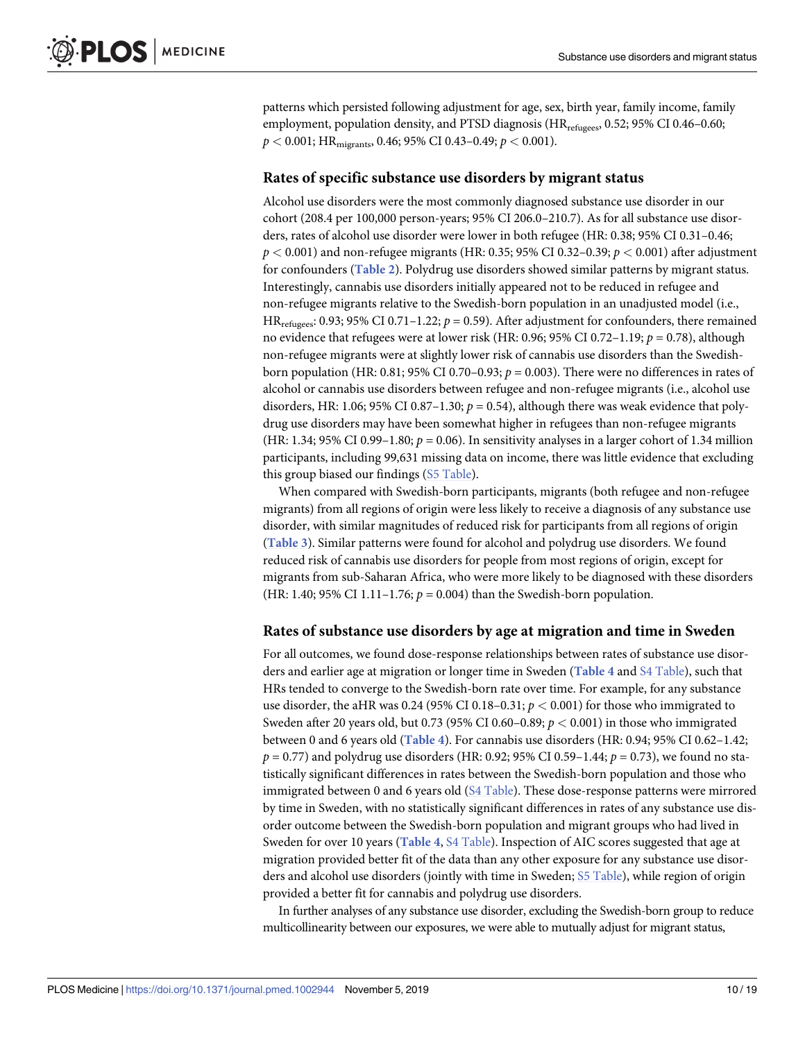<span id="page-9-0"></span>patterns which persisted following adjustment for age, sex, birth year, family income, family employment, population density, and PTSD diagnosis (HR<sub>refugees</sub>, 0.52; 95% CI 0.46-0.60; *p <* 0.001; HRmigrants, 0.46; 95% CI 0.43–0.49; *p <* 0.001).

# **Rates of specific substance use disorders by migrant status**

Alcohol use disorders were the most commonly diagnosed substance use disorder in our cohort (208.4 per 100,000 person-years; 95% CI 206.0–210.7). As for all substance use disorders, rates of alcohol use disorder were lower in both refugee (HR: 0.38; 95% CI 0.31–0.46; *p <* 0.001) and non-refugee migrants (HR: 0.35; 95% CI 0.32–0.39; *p <* 0.001) after adjustment for confounders (**[Table](#page-8-0) 2**). Polydrug use disorders showed similar patterns by migrant status. Interestingly, cannabis use disorders initially appeared not to be reduced in refugee and non-refugee migrants relative to the Swedish-born population in an unadjusted model (i.e., HR<sub>refugees</sub>: 0.93; 95% CI 0.71–1.22;  $p = 0.59$ ). After adjustment for confounders, there remained no evidence that refugees were at lower risk (HR: 0.96; 95% CI 0.72–1.19; *p* = 0.78), although non-refugee migrants were at slightly lower risk of cannabis use disorders than the Swedishborn population (HR: 0.81; 95% CI 0.70–0.93;  $p = 0.003$ ). There were no differences in rates of alcohol or cannabis use disorders between refugee and non-refugee migrants (i.e., alcohol use disorders, HR: 1.06; 95% CI 0.87–1.30;  $p = 0.54$ ), although there was weak evidence that polydrug use disorders may have been somewhat higher in refugees than non-refugee migrants (HR: 1.34; 95% CI 0.99–1.80;  $p = 0.06$ ). In sensitivity analyses in a larger cohort of 1.34 million participants, including 99,631 missing data on income, there was little evidence that excluding this group biased our findings (S5 [Table\)](#page-15-0).

When compared with Swedish-born participants, migrants (both refugee and non-refugee migrants) from all regions of origin were less likely to receive a diagnosis of any substance use disorder, with similar magnitudes of reduced risk for participants from all regions of origin (**[Table](#page-10-0) 3**). Similar patterns were found for alcohol and polydrug use disorders. We found reduced risk of cannabis use disorders for people from most regions of origin, except for migrants from sub-Saharan Africa, who were more likely to be diagnosed with these disorders (HR: 1.40; 95% CI 1.11–1.76; *p* = 0.004) than the Swedish-born population.

### **Rates of substance use disorders by age at migration and time in Sweden**

For all outcomes, we found dose-response relationships between rates of substance use disorders and earlier age at migration or longer time in Sweden (**[Table](#page-11-0) 4** and S4 [Table\)](#page-15-0), such that HRs tended to converge to the Swedish-born rate over time. For example, for any substance use disorder, the aHR was 0.24 (95% CI 0.18–0.31;  $p < 0.001$ ) for those who immigrated to Sweden after 20 years old, but 0.73 (95% CI 0.60–0.89; *p <* 0.001) in those who immigrated between 0 and 6 years old (**[Table](#page-11-0) 4**). For cannabis use disorders (HR: 0.94; 95% CI 0.62–1.42; *p* = 0.77) and polydrug use disorders (HR: 0.92; 95% CI 0.59–1.44; *p* = 0.73), we found no statistically significant differences in rates between the Swedish-born population and those who immigrated between 0 and 6 years old (S4 [Table\)](#page-15-0). These dose-response patterns were mirrored by time in Sweden, with no statistically significant differences in rates of any substance use disorder outcome between the Swedish-born population and migrant groups who had lived in Sweden for over 10 years (**[Table](#page-11-0) 4**, S4 [Table](#page-15-0)). Inspection of AIC scores suggested that age at migration provided better fit of the data than any other exposure for any substance use disorders and alcohol use disorders (jointly with time in Sweden; S5 [Table](#page-15-0)), while region of origin provided a better fit for cannabis and polydrug use disorders.

In further analyses of any substance use disorder, excluding the Swedish-born group to reduce multicollinearity between our exposures, we were able to mutually adjust for migrant status,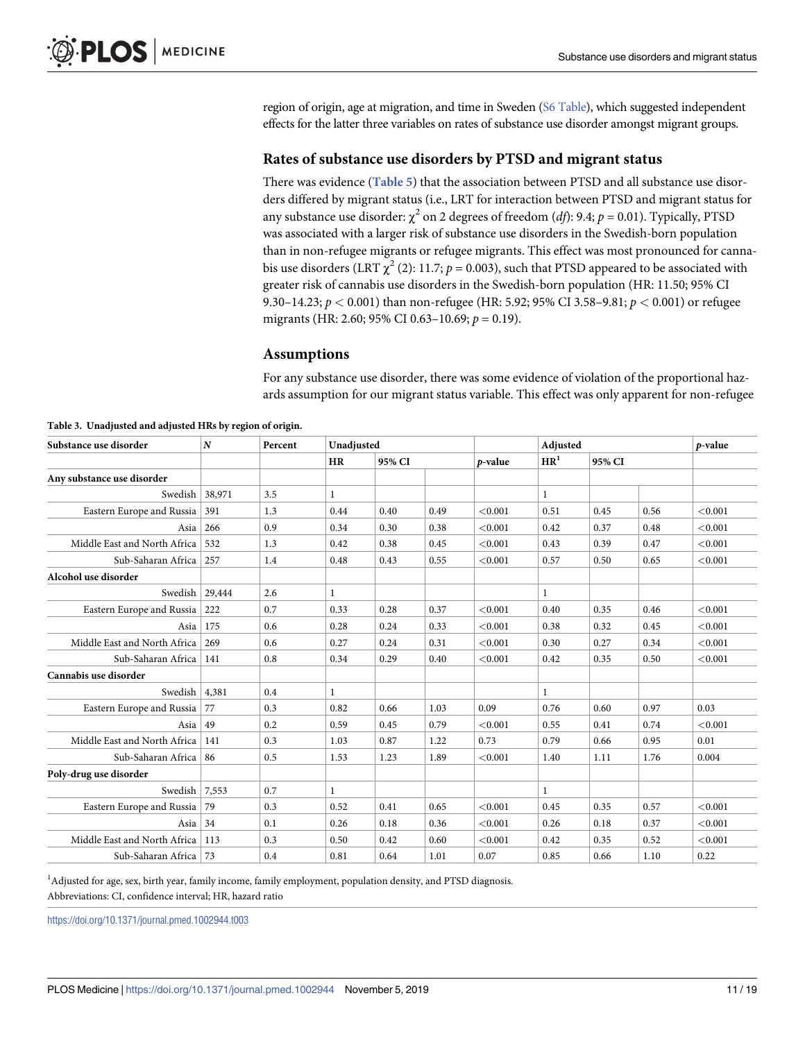<span id="page-10-0"></span>region of origin, age at migration, and time in Sweden (S6 [Table\)](#page-15-0), which suggested independent effects for the latter three variables on rates of substance use disorder amongst migrant groups.

# **Rates of substance use disorders by PTSD and migrant status**

There was evidence (**[Table](#page-11-0) 5**) that the association between PTSD and all substance use disorders differed by migrant status (i.e., LRT for interaction between PTSD and migrant status for any substance use disorder:  $\chi^2$  on 2 degrees of freedom (*df*): 9.4;  $p = 0.01$ ). Typically, PTSD was associated with a larger risk of substance use disorders in the Swedish-born population than in non-refugee migrants or refugee migrants. This effect was most pronounced for cannabis use disorders (LRT  $\chi^2$  (2): 11.7;  $p = 0.003$ ), such that PTSD appeared to be associated with greater risk of cannabis use disorders in the Swedish-born population (HR: 11.50; 95% CI 9.30–14.23; *p <* 0.001) than non-refugee (HR: 5.92; 95% CI 3.58–9.81; *p <* 0.001) or refugee migrants (HR: 2.60; 95% CI 0.63–10.69; *p* = 0.19).

# **Assumptions**

For any substance use disorder, there was some evidence of violation of the proportional hazards assumption for our migrant status variable. This effect was only apparent for non-refugee

| Substance use disorder       | $\boldsymbol{N}$ | Percent | Unadiusted   |        |      |         | Adjusted        |        |      | p-value |
|------------------------------|------------------|---------|--------------|--------|------|---------|-----------------|--------|------|---------|
|                              |                  |         | <b>HR</b>    | 95% CI |      | p-value | HR <sup>1</sup> | 95% CI |      |         |
| Any substance use disorder   |                  |         |              |        |      |         |                 |        |      |         |
| Swedish                      | 38,971           | 3.5     | $\mathbf{1}$ |        |      |         | 1               |        |      |         |
| Eastern Europe and Russia    | 391              | 1.3     | 0.44         | 0.40   | 0.49 | < 0.001 | 0.51            | 0.45   | 0.56 | < 0.001 |
| Asia                         | 266              | 0.9     | 0.34         | 0.30   | 0.38 | < 0.001 | 0.42            | 0.37   | 0.48 | < 0.001 |
| Middle East and North Africa | 532              | 1.3     | 0.42         | 0.38   | 0.45 | < 0.001 | 0.43            | 0.39   | 0.47 | < 0.001 |
| Sub-Saharan Africa           | 257              | 1.4     | 0.48         | 0.43   | 0.55 | < 0.001 | 0.57            | 0.50   | 0.65 | < 0.001 |
| Alcohol use disorder         |                  |         |              |        |      |         |                 |        |      |         |
| Swedish                      | 29,444           | 2.6     | 1            |        |      |         |                 |        |      |         |
| Eastern Europe and Russia    | 222              | 0.7     | 0.33         | 0.28   | 0.37 | < 0.001 | 0.40            | 0.35   | 0.46 | < 0.001 |
| Asia                         | 175              | 0.6     | 0.28         | 0.24   | 0.33 | < 0.001 | 0.38            | 0.32   | 0.45 | < 0.001 |
| Middle East and North Africa | 269              | 0.6     | 0.27         | 0.24   | 0.31 | < 0.001 | 0.30            | 0.27   | 0.34 | < 0.001 |
| Sub-Saharan Africa           | 141              | 0.8     | 0.34         | 0.29   | 0.40 | < 0.001 | 0.42            | 0.35   | 0.50 | < 0.001 |
| Cannabis use disorder        |                  |         |              |        |      |         |                 |        |      |         |
| Swedish                      | 4,381            | 0.4     | 1            |        |      |         | 1               |        |      |         |
| Eastern Europe and Russia    | 77               | 0.3     | 0.82         | 0.66   | 1.03 | 0.09    | 0.76            | 0.60   | 0.97 | 0.03    |
| Asia                         | 49               | 0.2     | 0.59         | 0.45   | 0.79 | < 0.001 | 0.55            | 0.41   | 0.74 | < 0.001 |
| Middle East and North Africa | 141              | 0.3     | 1.03         | 0.87   | 1.22 | 0.73    | 0.79            | 0.66   | 0.95 | 0.01    |
| Sub-Saharan Africa           | 86               | 0.5     | 1.53         | 1.23   | 1.89 | < 0.001 | 1.40            | 1.11   | 1.76 | 0.004   |
| Poly-drug use disorder       |                  |         |              |        |      |         |                 |        |      |         |
| Swedish                      | 7,553            | 0.7     | 1            |        |      |         | 1               |        |      |         |
| Eastern Europe and Russia    | 79               | 0.3     | 0.52         | 0.41   | 0.65 | < 0.001 | 0.45            | 0.35   | 0.57 | < 0.001 |
| Asia                         | 34               | 0.1     | 0.26         | 0.18   | 0.36 | < 0.001 | 0.26            | 0.18   | 0.37 | < 0.001 |
| Middle East and North Africa | 113              | 0.3     | 0.50         | 0.42   | 0.60 | < 0.001 | 0.42            | 0.35   | 0.52 | < 0.001 |
| Sub-Saharan Africa           | 73               | 0.4     | 0.81         | 0.64   | 1.01 | 0.07    | 0.85            | 0.66   | 1.10 | 0.22    |

**[Table](#page-9-0) 3. Unadjusted and adjusted HRs by region of origin.**

<sup>1</sup>Adjusted for age, sex, birth year, family income, family employment, population density, and PTSD diagnosis. Abbreviations: CI, confidence interval; HR, hazard ratio

<https://doi.org/10.1371/journal.pmed.1002944.t003>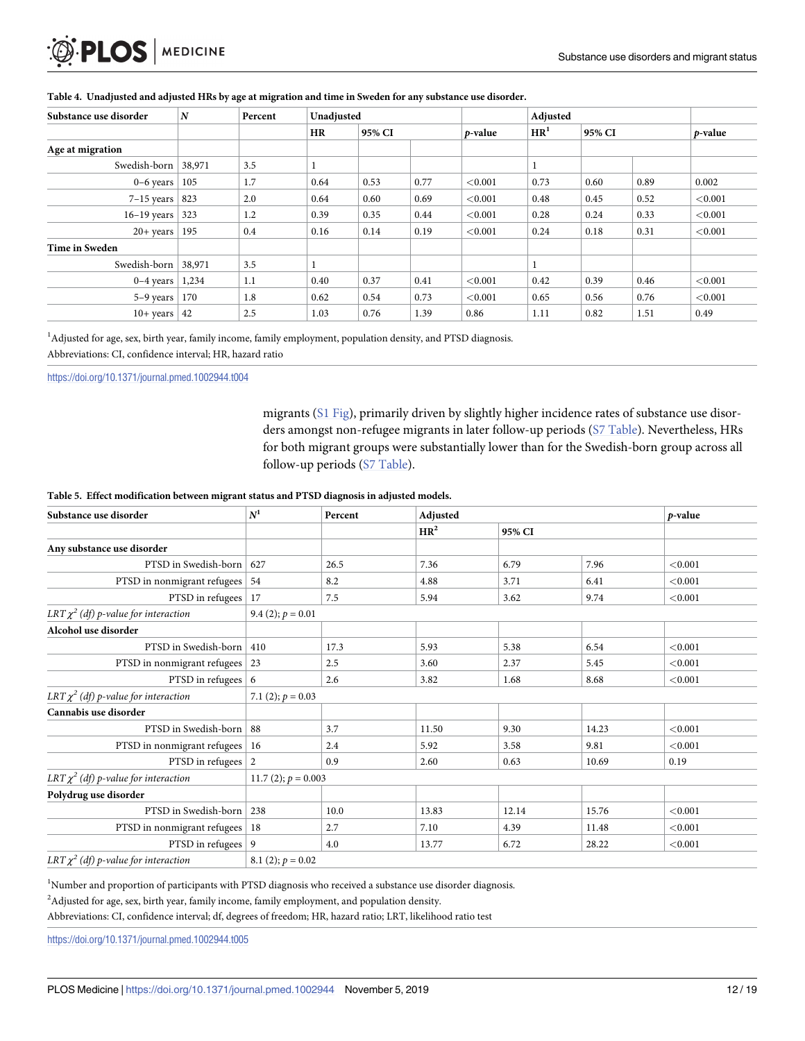| Substance use disorder | $\overline{N}$<br>Unadjusted<br>Percent |     |           |        | Adjusted |                            |      |        |      |            |
|------------------------|-----------------------------------------|-----|-----------|--------|----------|----------------------------|------|--------|------|------------|
|                        |                                         |     | <b>HR</b> | 95% CI |          | HR <sup>1</sup><br>p-value |      | 95% CI |      | $p$ -value |
| Age at migration       |                                         |     |           |        |          |                            |      |        |      |            |
| Swedish-born $ 38,971$ |                                         | 3.5 |           |        |          |                            |      |        |      |            |
| $0-6$ years            | 105                                     | 1.7 | 0.64      | 0.53   | 0.77     | < 0.001                    | 0.73 | 0.60   | 0.89 | 0.002      |
| $7-15$ years   823     |                                         | 2.0 | 0.64      | 0.60   | 0.69     | < 0.001                    | 0.48 | 0.45   | 0.52 | < 0.001    |
| 16–19 years $ 323$     |                                         | 1.2 | 0.39      | 0.35   | 0.44     | < 0.001                    | 0.28 | 0.24   | 0.33 | < 0.001    |
| $20+ \text{years}$     | 195                                     | 0.4 | 0.16      | 0.14   | 0.19     | < 0.001                    | 0.24 | 0.18   | 0.31 | ${<}0.001$ |
| Time in Sweden         |                                         |     |           |        |          |                            |      |        |      |            |
| Swedish-born $ 38,971$ |                                         | 3.5 |           |        |          |                            |      |        |      |            |
| $0-4$ years            | 1,234                                   | 1.1 | 0.40      | 0.37   | 0.41     | < 0.001                    | 0.42 | 0.39   | 0.46 | < 0.001    |
| $5-9$ years            | 170                                     | 1.8 | 0.62      | 0.54   | 0.73     | < 0.001                    | 0.65 | 0.56   | 0.76 | < 0.001    |
| $10+$ years   42       |                                         | 2.5 | 1.03      | 0.76   | 1.39     | 0.86                       | 1.11 | 0.82   | 1.51 | 0.49       |

#### <span id="page-11-0"></span>[Table](#page-9-0) 4. Unadjusted and adjusted HRs by age at migration and time in Sweden for any substance use disorder.

<sup>1</sup>Adjusted for age, sex, birth year, family income, family employment, population density, and PTSD diagnosis. Abbreviations: CI, confidence interval; HR, hazard ratio

<https://doi.org/10.1371/journal.pmed.1002944.t004>

migrants (S1 [Fig\)](#page-15-0), primarily driven by slightly higher incidence rates of substance use disor-ders amongst non-refugee migrants in later follow-up periods (S7 [Table\)](#page-15-0). Nevertheless, HRs for both migrant groups were substantially lower than for the Swedish-born group across all follow-up periods (S7 [Table](#page-15-0)).

#### **[Table](#page-10-0) 5. Effect modification between migrant status and PTSD diagnosis in adjusted models.**

| Substance use disorder                    | $N^1$                 | Percent | Adjusted        |        | p-value |         |  |  |  |  |
|-------------------------------------------|-----------------------|---------|-----------------|--------|---------|---------|--|--|--|--|
|                                           |                       |         | HR <sup>2</sup> | 95% CI |         |         |  |  |  |  |
| Any substance use disorder                |                       |         |                 |        |         |         |  |  |  |  |
| PTSD in Swedish-born                      | 627                   | 26.5    | 7.36            | 6.79   | 7.96    | < 0.001 |  |  |  |  |
| PTSD in nonmigrant refugees               | 54                    | 8.2     | 4.88            | 3.71   | 6.41    | < 0.001 |  |  |  |  |
| PTSD in refugees                          | 17                    | 7.5     | 5.94            | 3.62   | 9.74    | < 0.001 |  |  |  |  |
| LRT $\chi^2$ (df) p-value for interaction | 9.4 (2); $p = 0.01$   |         |                 |        |         |         |  |  |  |  |
| Alcohol use disorder                      |                       |         |                 |        |         |         |  |  |  |  |
| PTSD in Swedish-born                      | 410                   | 17.3    | 5.93            | 5.38   | 6.54    | < 0.001 |  |  |  |  |
| PTSD in nonmigrant refugees               | 23                    | 2.5     | 3.60            | 2.37   | 5.45    | < 0.001 |  |  |  |  |
| PTSD in refugees                          | 6                     | 2.6     | 3.82            | 1.68   | 8.68    | < 0.001 |  |  |  |  |
| LRT $\chi^2$ (df) p-value for interaction | 7.1 (2); $p = 0.03$   |         |                 |        |         |         |  |  |  |  |
| Cannabis use disorder                     |                       |         |                 |        |         |         |  |  |  |  |
| PTSD in Swedish-born                      | 88                    | 3.7     | 11.50           | 9.30   | 14.23   | < 0.001 |  |  |  |  |
| PTSD in nonmigrant refugees               | 16                    | 2.4     | 5.92            | 3.58   | 9.81    | < 0.001 |  |  |  |  |
| PTSD in refugees $ 2$                     |                       | 0.9     | 2.60            | 0.63   | 10.69   | 0.19    |  |  |  |  |
| LRT $\chi^2$ (df) p-value for interaction | 11.7 (2); $p = 0.003$ |         |                 |        |         |         |  |  |  |  |
| Polydrug use disorder                     |                       |         |                 |        |         |         |  |  |  |  |
| PTSD in Swedish-born                      | 238                   | 10.0    | 13.83           | 12.14  | 15.76   | < 0.001 |  |  |  |  |
| PTSD in nonmigrant refugees               | 18                    | 2.7     | 7.10            | 4.39   | 11.48   | < 0.001 |  |  |  |  |
| PTSD in refugees                          | 9                     | 4.0     | 13.77           | 6.72   | 28.22   | < 0.001 |  |  |  |  |
| LRT $\chi^2$ (df) p-value for interaction | 8.1 (2); $p = 0.02$   |         |                 |        |         |         |  |  |  |  |

<sup>1</sup>Number and proportion of participants with PTSD diagnosis who received a substance use disorder diagnosis.

<sup>2</sup>Adjusted for age, sex, birth year, family income, family employment, and population density.

Abbreviations: CI, confidence interval; df, degrees of freedom; HR, hazard ratio; LRT, likelihood ratio test

<https://doi.org/10.1371/journal.pmed.1002944.t005>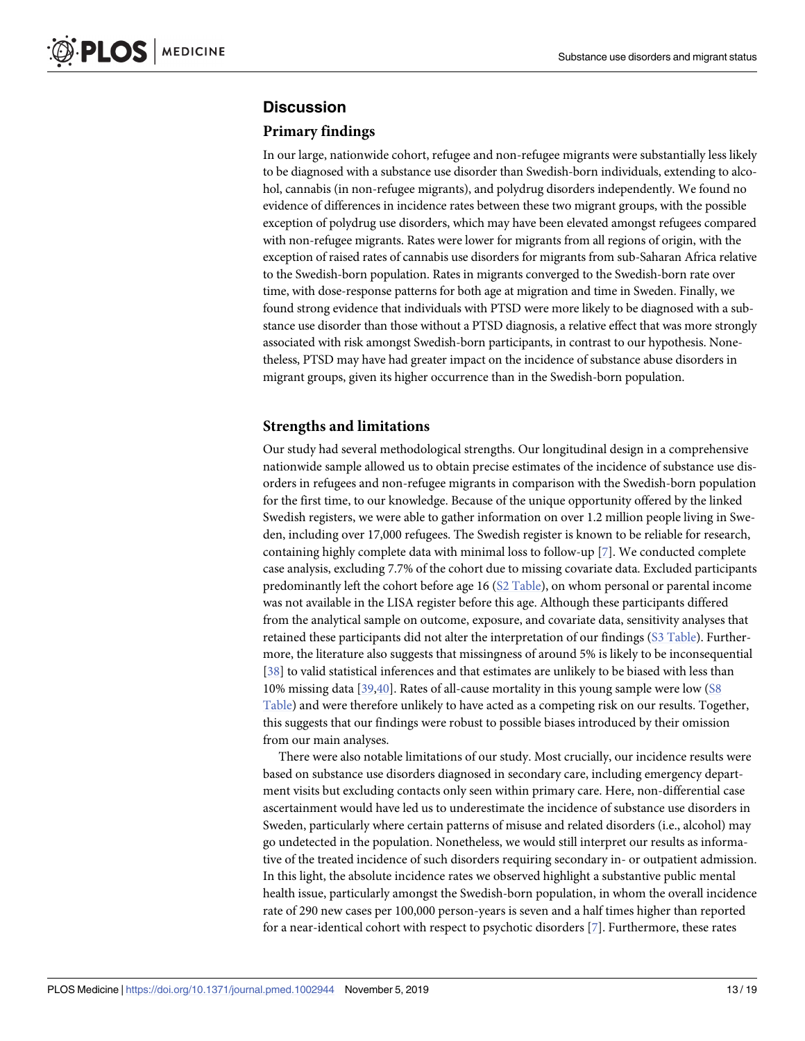# <span id="page-12-0"></span>**Discussion**

# **Primary findings**

In our large, nationwide cohort, refugee and non-refugee migrants were substantially less likely to be diagnosed with a substance use disorder than Swedish-born individuals, extending to alcohol, cannabis (in non-refugee migrants), and polydrug disorders independently. We found no evidence of differences in incidence rates between these two migrant groups, with the possible exception of polydrug use disorders, which may have been elevated amongst refugees compared with non-refugee migrants. Rates were lower for migrants from all regions of origin, with the exception of raised rates of cannabis use disorders for migrants from sub-Saharan Africa relative to the Swedish-born population. Rates in migrants converged to the Swedish-born rate over time, with dose-response patterns for both age at migration and time in Sweden. Finally, we found strong evidence that individuals with PTSD were more likely to be diagnosed with a substance use disorder than those without a PTSD diagnosis, a relative effect that was more strongly associated with risk amongst Swedish-born participants, in contrast to our hypothesis. Nonetheless, PTSD may have had greater impact on the incidence of substance abuse disorders in migrant groups, given its higher occurrence than in the Swedish-born population.

# **Strengths and limitations**

Our study had several methodological strengths. Our longitudinal design in a comprehensive nationwide sample allowed us to obtain precise estimates of the incidence of substance use disorders in refugees and non-refugee migrants in comparison with the Swedish-born population for the first time, to our knowledge. Because of the unique opportunity offered by the linked Swedish registers, we were able to gather information on over 1.2 million people living in Sweden, including over 17,000 refugees. The Swedish register is known to be reliable for research, containing highly complete data with minimal loss to follow-up [\[7\]](#page-16-0). We conducted complete case analysis, excluding 7.7% of the cohort due to missing covariate data. Excluded participants predominantly left the cohort before age 16 (S2 [Table\)](#page-15-0), on whom personal or parental income was not available in the LISA register before this age. Although these participants differed from the analytical sample on outcome, exposure, and covariate data, sensitivity analyses that retained these participants did not alter the interpretation of our findings (S3 [Table\)](#page-15-0). Furthermore, the literature also suggests that missingness of around 5% is likely to be inconsequential [\[38\]](#page-18-0) to valid statistical inferences and that estimates are unlikely to be biased with less than 10% missing data [[39](#page-18-0),[40](#page-18-0)]. Rates of all-cause mortality in this young sample were low [\(S8](#page-15-0) [Table](#page-15-0)) and were therefore unlikely to have acted as a competing risk on our results. Together, this suggests that our findings were robust to possible biases introduced by their omission from our main analyses.

There were also notable limitations of our study. Most crucially, our incidence results were based on substance use disorders diagnosed in secondary care, including emergency department visits but excluding contacts only seen within primary care. Here, non-differential case ascertainment would have led us to underestimate the incidence of substance use disorders in Sweden, particularly where certain patterns of misuse and related disorders (i.e., alcohol) may go undetected in the population. Nonetheless, we would still interpret our results as informative of the treated incidence of such disorders requiring secondary in- or outpatient admission. In this light, the absolute incidence rates we observed highlight a substantive public mental health issue, particularly amongst the Swedish-born population, in whom the overall incidence rate of 290 new cases per 100,000 person-years is seven and a half times higher than reported for a near-identical cohort with respect to psychotic disorders [\[7\]](#page-16-0). Furthermore, these rates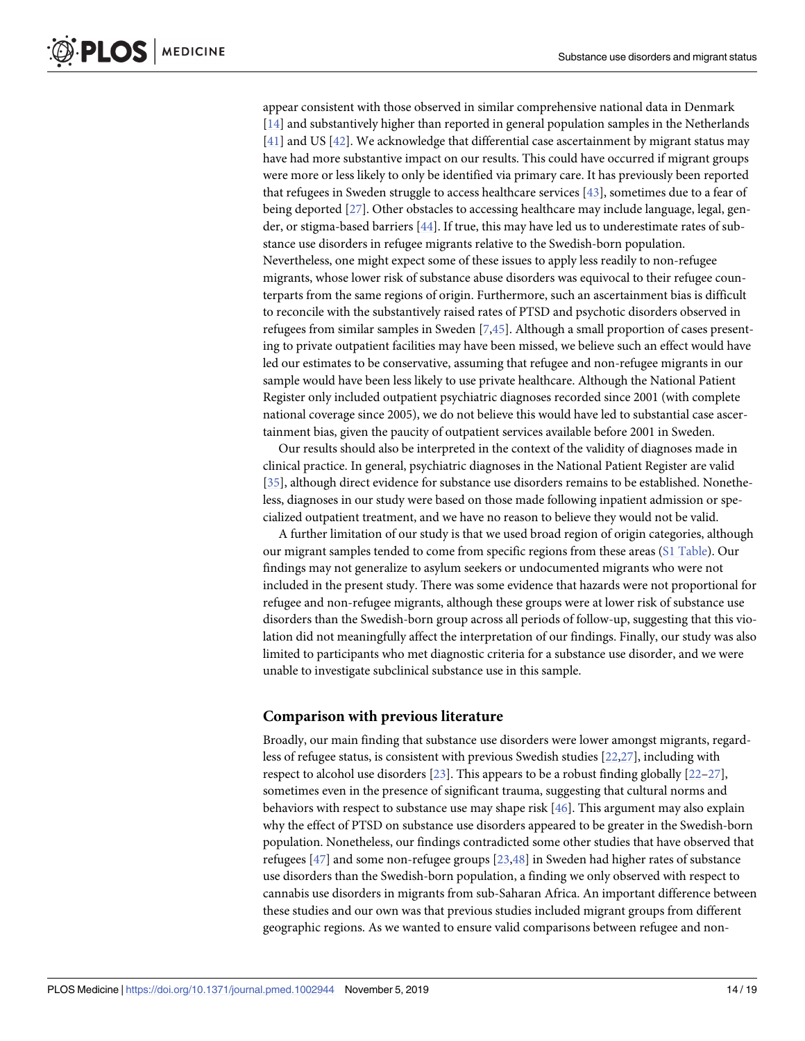<span id="page-13-0"></span>appear consistent with those observed in similar comprehensive national data in Denmark [\[14\]](#page-17-0) and substantively higher than reported in general population samples in the Netherlands [\[41\]](#page-18-0) and US [[42](#page-18-0)]. We acknowledge that differential case ascertainment by migrant status may have had more substantive impact on our results. This could have occurred if migrant groups were more or less likely to only be identified via primary care. It has previously been reported that refugees in Sweden struggle to access healthcare services [\[43\]](#page-18-0), sometimes due to a fear of being deported [[27](#page-17-0)]. Other obstacles to accessing healthcare may include language, legal, gender, or stigma-based barriers [\[44](#page-18-0)]. If true, this may have led us to underestimate rates of substance use disorders in refugee migrants relative to the Swedish-born population. Nevertheless, one might expect some of these issues to apply less readily to non-refugee migrants, whose lower risk of substance abuse disorders was equivocal to their refugee counterparts from the same regions of origin. Furthermore, such an ascertainment bias is difficult to reconcile with the substantively raised rates of PTSD and psychotic disorders observed in refugees from similar samples in Sweden [[7](#page-16-0),[45](#page-18-0)]. Although a small proportion of cases presenting to private outpatient facilities may have been missed, we believe such an effect would have led our estimates to be conservative, assuming that refugee and non-refugee migrants in our sample would have been less likely to use private healthcare. Although the National Patient Register only included outpatient psychiatric diagnoses recorded since 2001 (with complete national coverage since 2005), we do not believe this would have led to substantial case ascertainment bias, given the paucity of outpatient services available before 2001 in Sweden.

Our results should also be interpreted in the context of the validity of diagnoses made in clinical practice. In general, psychiatric diagnoses in the National Patient Register are valid [\[35\]](#page-18-0), although direct evidence for substance use disorders remains to be established. Nonetheless, diagnoses in our study were based on those made following inpatient admission or specialized outpatient treatment, and we have no reason to believe they would not be valid.

A further limitation of our study is that we used broad region of origin categories, although our migrant samples tended to come from specific regions from these areas (S1 [Table](#page-15-0)). Our findings may not generalize to asylum seekers or undocumented migrants who were not included in the present study. There was some evidence that hazards were not proportional for refugee and non-refugee migrants, although these groups were at lower risk of substance use disorders than the Swedish-born group across all periods of follow-up, suggesting that this violation did not meaningfully affect the interpretation of our findings. Finally, our study was also limited to participants who met diagnostic criteria for a substance use disorder, and we were unable to investigate subclinical substance use in this sample.

### **Comparison with previous literature**

Broadly, our main finding that substance use disorders were lower amongst migrants, regardless of refugee status, is consistent with previous Swedish studies [[22,27\]](#page-17-0), including with respect to alcohol use disorders [[23](#page-17-0)]. This appears to be a robust finding globally  $[22-27]$ , sometimes even in the presence of significant trauma, suggesting that cultural norms and behaviors with respect to substance use may shape risk [\[46\]](#page-18-0). This argument may also explain why the effect of PTSD on substance use disorders appeared to be greater in the Swedish-born population. Nonetheless, our findings contradicted some other studies that have observed that refugees [\[47\]](#page-18-0) and some non-refugee groups [\[23,](#page-17-0)[48\]](#page-18-0) in Sweden had higher rates of substance use disorders than the Swedish-born population, a finding we only observed with respect to cannabis use disorders in migrants from sub-Saharan Africa. An important difference between these studies and our own was that previous studies included migrant groups from different geographic regions. As we wanted to ensure valid comparisons between refugee and non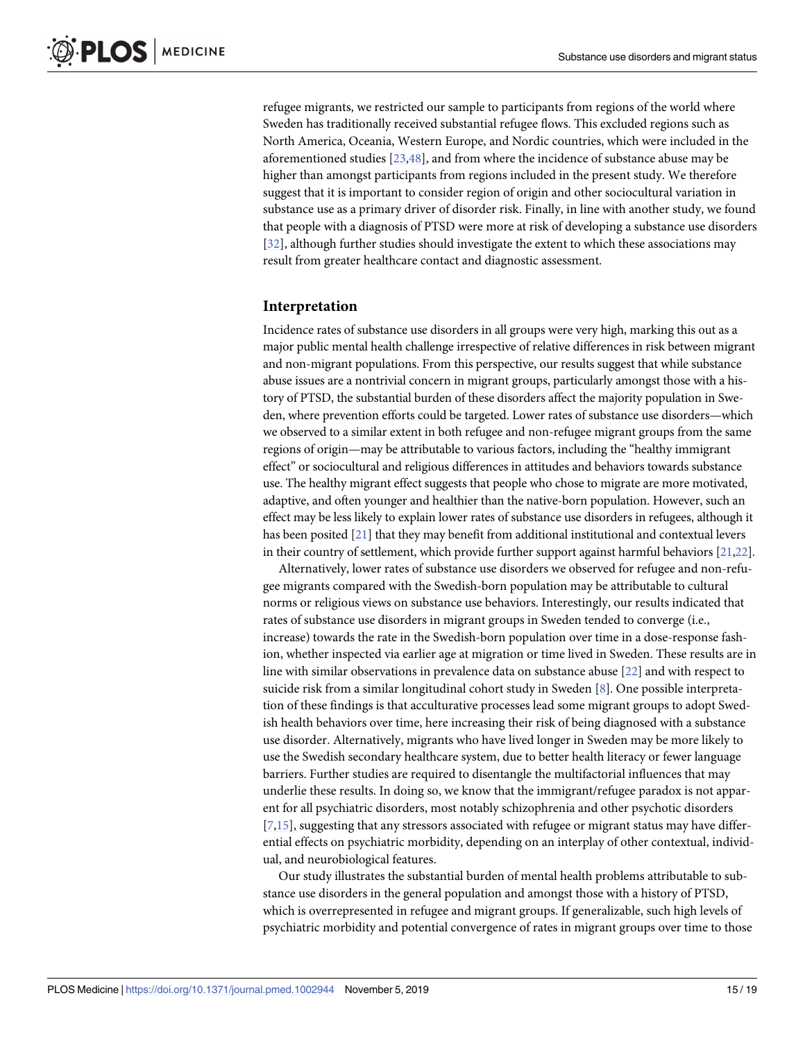refugee migrants, we restricted our sample to participants from regions of the world where Sweden has traditionally received substantial refugee flows. This excluded regions such as North America, Oceania, Western Europe, and Nordic countries, which were included in the aforementioned studies [\[23,](#page-17-0)[48\]](#page-18-0), and from where the incidence of substance abuse may be higher than amongst participants from regions included in the present study. We therefore suggest that it is important to consider region of origin and other sociocultural variation in substance use as a primary driver of disorder risk. Finally, in line with another study, we found that people with a diagnosis of PTSD were more at risk of developing a substance use disorders [\[32\]](#page-18-0), although further studies should investigate the extent to which these associations may result from greater healthcare contact and diagnostic assessment.

### **Interpretation**

Incidence rates of substance use disorders in all groups were very high, marking this out as a major public mental health challenge irrespective of relative differences in risk between migrant and non-migrant populations. From this perspective, our results suggest that while substance abuse issues are a nontrivial concern in migrant groups, particularly amongst those with a history of PTSD, the substantial burden of these disorders affect the majority population in Sweden, where prevention efforts could be targeted. Lower rates of substance use disorders—which we observed to a similar extent in both refugee and non-refugee migrant groups from the same regions of origin—may be attributable to various factors, including the "healthy immigrant effect" or sociocultural and religious differences in attitudes and behaviors towards substance use. The healthy migrant effect suggests that people who chose to migrate are more motivated, adaptive, and often younger and healthier than the native-born population. However, such an effect may be less likely to explain lower rates of substance use disorders in refugees, although it has been posited [\[21\]](#page-17-0) that they may benefit from additional institutional and contextual levers in their country of settlement, which provide further support against harmful behaviors [\[21](#page-17-0),[22\]](#page-17-0).

Alternatively, lower rates of substance use disorders we observed for refugee and non-refugee migrants compared with the Swedish-born population may be attributable to cultural norms or religious views on substance use behaviors. Interestingly, our results indicated that rates of substance use disorders in migrant groups in Sweden tended to converge (i.e., increase) towards the rate in the Swedish-born population over time in a dose-response fashion, whether inspected via earlier age at migration or time lived in Sweden. These results are in line with similar observations in prevalence data on substance abuse [[22](#page-17-0)] and with respect to suicide risk from a similar longitudinal cohort study in Sweden [\[8\]](#page-16-0). One possible interpretation of these findings is that acculturative processes lead some migrant groups to adopt Swedish health behaviors over time, here increasing their risk of being diagnosed with a substance use disorder. Alternatively, migrants who have lived longer in Sweden may be more likely to use the Swedish secondary healthcare system, due to better health literacy or fewer language barriers. Further studies are required to disentangle the multifactorial influences that may underlie these results. In doing so, we know that the immigrant/refugee paradox is not apparent for all psychiatric disorders, most notably schizophrenia and other psychotic disorders  $[7,15]$  $[7,15]$ , suggesting that any stressors associated with refugee or migrant status may have differential effects on psychiatric morbidity, depending on an interplay of other contextual, individual, and neurobiological features.

Our study illustrates the substantial burden of mental health problems attributable to substance use disorders in the general population and amongst those with a history of PTSD, which is overrepresented in refugee and migrant groups. If generalizable, such high levels of psychiatric morbidity and potential convergence of rates in migrant groups over time to those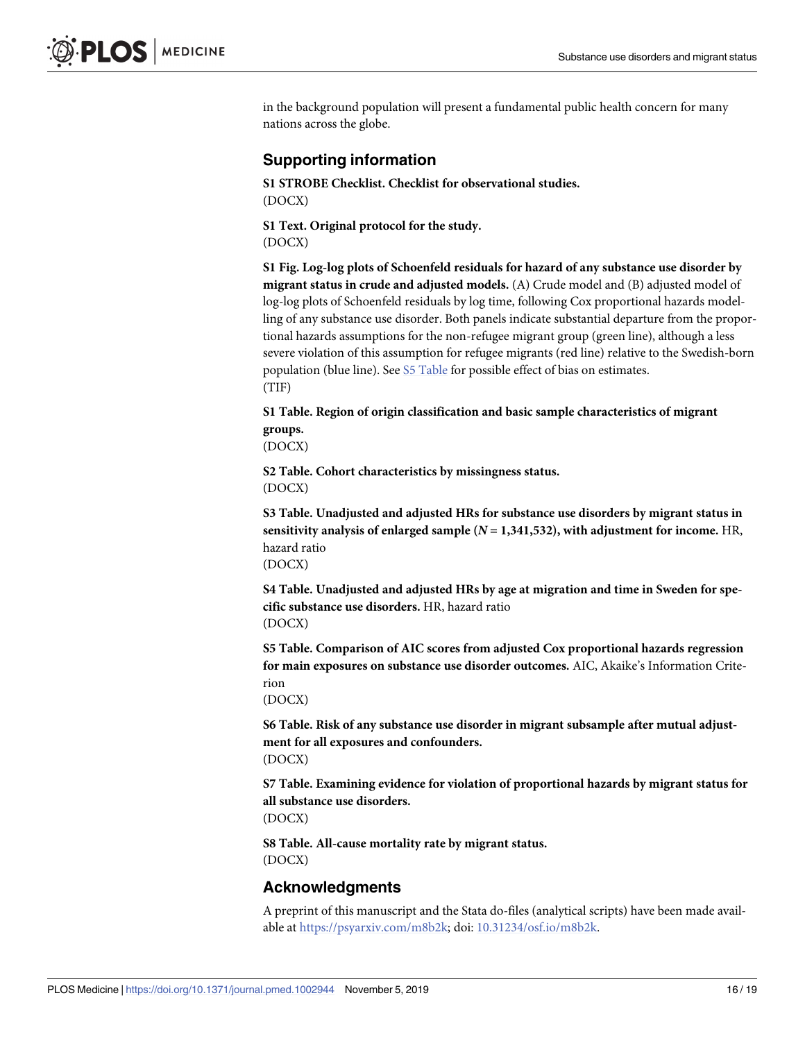<span id="page-15-0"></span>in the background population will present a fundamental public health concern for many nations across the globe.

# **Supporting information**

**S1 STROBE [Checklist.](http://journals.plos.org/plosmedicine/article/asset?unique&id=info:doi/10.1371/journal.pmed.1002944.s001) Checklist for observational studies.** (DOCX)

**S1 [Text](http://journals.plos.org/plosmedicine/article/asset?unique&id=info:doi/10.1371/journal.pmed.1002944.s002). Original protocol for the study.** (DOCX)

**S1 [Fig](http://journals.plos.org/plosmedicine/article/asset?unique&id=info:doi/10.1371/journal.pmed.1002944.s003). Log-log plots of Schoenfeld residuals for hazard of any substance use disorder by migrant status in crude and adjusted models.** (A) Crude model and (B) adjusted model of log-log plots of Schoenfeld residuals by log time, following Cox proportional hazards modelling of any substance use disorder. Both panels indicate substantial departure from the proportional hazards assumptions for the non-refugee migrant group (green line), although a less severe violation of this assumption for refugee migrants (red line) relative to the Swedish-born population (blue line). See S5 Table for possible effect of bias on estimates. (TIF)

**S1 [Table.](http://journals.plos.org/plosmedicine/article/asset?unique&id=info:doi/10.1371/journal.pmed.1002944.s004) Region of origin classification and basic sample characteristics of migrant groups.**

(DOCX)

**S2 [Table.](http://journals.plos.org/plosmedicine/article/asset?unique&id=info:doi/10.1371/journal.pmed.1002944.s005) Cohort characteristics by missingness status.** (DOCX)

**S3 [Table.](http://journals.plos.org/plosmedicine/article/asset?unique&id=info:doi/10.1371/journal.pmed.1002944.s006) Unadjusted and adjusted HRs for substance use disorders by migrant status in sensitivity analysis of enlarged sample (***N* **= 1,341,532), with adjustment for income.** HR, hazard ratio (DOCX)

**S4 [Table.](http://journals.plos.org/plosmedicine/article/asset?unique&id=info:doi/10.1371/journal.pmed.1002944.s007) Unadjusted and adjusted HRs by age at migration and time in Sweden for specific substance use disorders.** HR, hazard ratio (DOCX)

**S5 [Table.](http://journals.plos.org/plosmedicine/article/asset?unique&id=info:doi/10.1371/journal.pmed.1002944.s008) Comparison of AIC scores from adjusted Cox proportional hazards regression for main exposures on substance use disorder outcomes.** AIC, Akaike's Information Criterion

(DOCX)

**S6 [Table.](http://journals.plos.org/plosmedicine/article/asset?unique&id=info:doi/10.1371/journal.pmed.1002944.s009) Risk of any substance use disorder in migrant subsample after mutual adjustment for all exposures and confounders.** (DOCX)

**S7 [Table.](http://journals.plos.org/plosmedicine/article/asset?unique&id=info:doi/10.1371/journal.pmed.1002944.s010) Examining evidence for violation of proportional hazards by migrant status for all substance use disorders.** (DOCX)

**S8 [Table.](http://journals.plos.org/plosmedicine/article/asset?unique&id=info:doi/10.1371/journal.pmed.1002944.s011) All-cause mortality rate by migrant status.** (DOCX)

# **Acknowledgments**

A preprint of this manuscript and the Stata do-files (analytical scripts) have been made available at [https://psyarxiv.com/m8b2k;](https://psyarxiv.com/m8b2k) doi: [10.31234/osf.io/m8b2k](https://doi.org/10.31234/osf.io/m8b2k).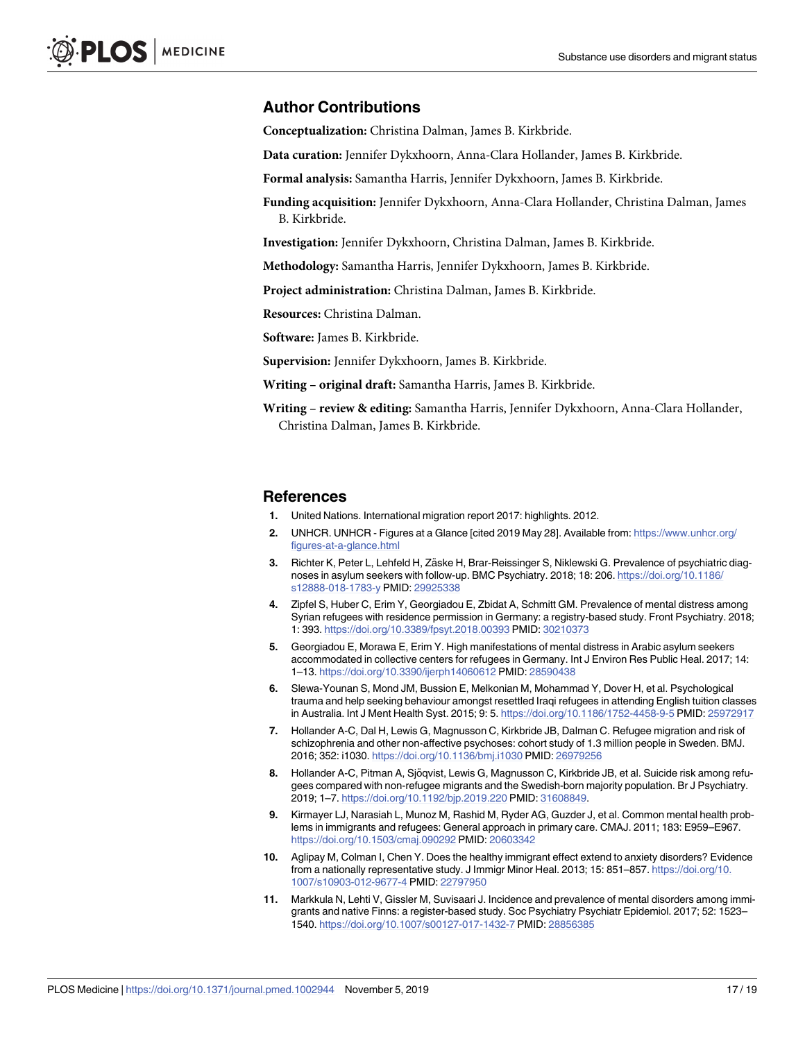# <span id="page-16-0"></span>**Author Contributions**

**Conceptualization:** Christina Dalman, James B. Kirkbride.

**Data curation:** Jennifer Dykxhoorn, Anna-Clara Hollander, James B. Kirkbride.

**Formal analysis:** Samantha Harris, Jennifer Dykxhoorn, James B. Kirkbride.

**Funding acquisition:** Jennifer Dykxhoorn, Anna-Clara Hollander, Christina Dalman, James B. Kirkbride.

**Investigation:** Jennifer Dykxhoorn, Christina Dalman, James B. Kirkbride.

**Methodology:** Samantha Harris, Jennifer Dykxhoorn, James B. Kirkbride.

**Project administration:** Christina Dalman, James B. Kirkbride.

**Resources:** Christina Dalman.

**Software:** James B. Kirkbride.

**Supervision:** Jennifer Dykxhoorn, James B. Kirkbride.

- **Writing – original draft:** Samantha Harris, James B. Kirkbride.
- **Writing – review & editing:** Samantha Harris, Jennifer Dykxhoorn, Anna-Clara Hollander, Christina Dalman, James B. Kirkbride.

#### **References**

- **[1](#page-2-0).** United Nations. International migration report 2017: highlights. 2012.
- **[2](#page-2-0).** UNHCR. UNHCR Figures at a Glance [cited 2019 May 28]. Available from: [https://www.unhcr.org/](https://www.unhcr.org/figures-at-a-glance.html) [figures-at-a-glance.html](https://www.unhcr.org/figures-at-a-glance.html)
- **[3](#page-2-0).** Richter K, Peter L, Lehfeld H, Zäske H, Brar-Reissinger S, Niklewski G. Prevalence of psychiatric diagnoses in asylum seekers with follow-up. BMC Psychiatry. 2018; 18: 206. [https://doi.org/10.1186/](https://doi.org/10.1186/s12888-018-1783-y) [s12888-018-1783-y](https://doi.org/10.1186/s12888-018-1783-y) PMID: [29925338](http://www.ncbi.nlm.nih.gov/pubmed/29925338)
- **4.** Zipfel S, Huber C, Erim Y, Georgiadou E, Zbidat A, Schmitt GM. Prevalence of mental distress among Syrian refugees with residence permission in Germany: a registry-based study. Front Psychiatry. 2018; 1: 393. <https://doi.org/10.3389/fpsyt.2018.00393> PMID: [30210373](http://www.ncbi.nlm.nih.gov/pubmed/30210373)
- **5.** Georgiadou E, Morawa E, Erim Y. High manifestations of mental distress in Arabic asylum seekers accommodated in collective centers for refugees in Germany. Int J Environ Res Public Heal. 2017; 14: 1–13. <https://doi.org/10.3390/ijerph14060612> PMID: [28590438](http://www.ncbi.nlm.nih.gov/pubmed/28590438)
- **[6](#page-2-0).** Slewa-Younan S, Mond JM, Bussion E, Melkonian M, Mohammad Y, Dover H, et al. Psychological trauma and help seeking behaviour amongst resettled Iraqi refugees in attending English tuition classes in Australia. Int J Ment Health Syst. 2015; 9: 5. <https://doi.org/10.1186/1752-4458-9-5> PMID: [25972917](http://www.ncbi.nlm.nih.gov/pubmed/25972917)
- **[7](#page-2-0).** Hollander A-C, Dal H, Lewis G, Magnusson C, Kirkbride JB, Dalman C. Refugee migration and risk of schizophrenia and other non-affective psychoses: cohort study of 1.3 million people in Sweden. BMJ. 2016; 352: i1030. <https://doi.org/10.1136/bmj.i1030> PMID: [26979256](http://www.ncbi.nlm.nih.gov/pubmed/26979256)
- **[8](#page-2-0).** Hollander A-C, Pitman A, Sjöqvist, Lewis G, Magnusson C, Kirkbride JB, et al. Suicide risk among refugees compared with non-refugee migrants and the Swedish-born majority population. Br J Psychiatry. 2019; 1–7. <https://doi.org/10.1192/bjp.2019.220> PMID: [31608849](http://www.ncbi.nlm.nih.gov/pubmed/31608849).
- **[9](#page-2-0).** Kirmayer LJ, Narasiah L, Munoz M, Rashid M, Ryder AG, Guzder J, et al. Common mental health problems in immigrants and refugees: General approach in primary care. CMAJ. 2011; 183: E959–E967. <https://doi.org/10.1503/cmaj.090292> PMID: [20603342](http://www.ncbi.nlm.nih.gov/pubmed/20603342)
- **10.** Aglipay M, Colman I, Chen Y. Does the healthy immigrant effect extend to anxiety disorders? Evidence from a nationally representative study. J Immigr Minor Heal. 2013; 15: 851–857. [https://doi.org/10.](https://doi.org/10.1007/s10903-012-9677-4) [1007/s10903-012-9677-4](https://doi.org/10.1007/s10903-012-9677-4) PMID: [22797950](http://www.ncbi.nlm.nih.gov/pubmed/22797950)
- **[11](#page-2-0).** Markkula N, Lehti V, Gissler M, Suvisaari J. Incidence and prevalence of mental disorders among immigrants and native Finns: a register-based study. Soc Psychiatry Psychiatr Epidemiol. 2017; 52: 1523– 1540. <https://doi.org/10.1007/s00127-017-1432-7> PMID: [28856385](http://www.ncbi.nlm.nih.gov/pubmed/28856385)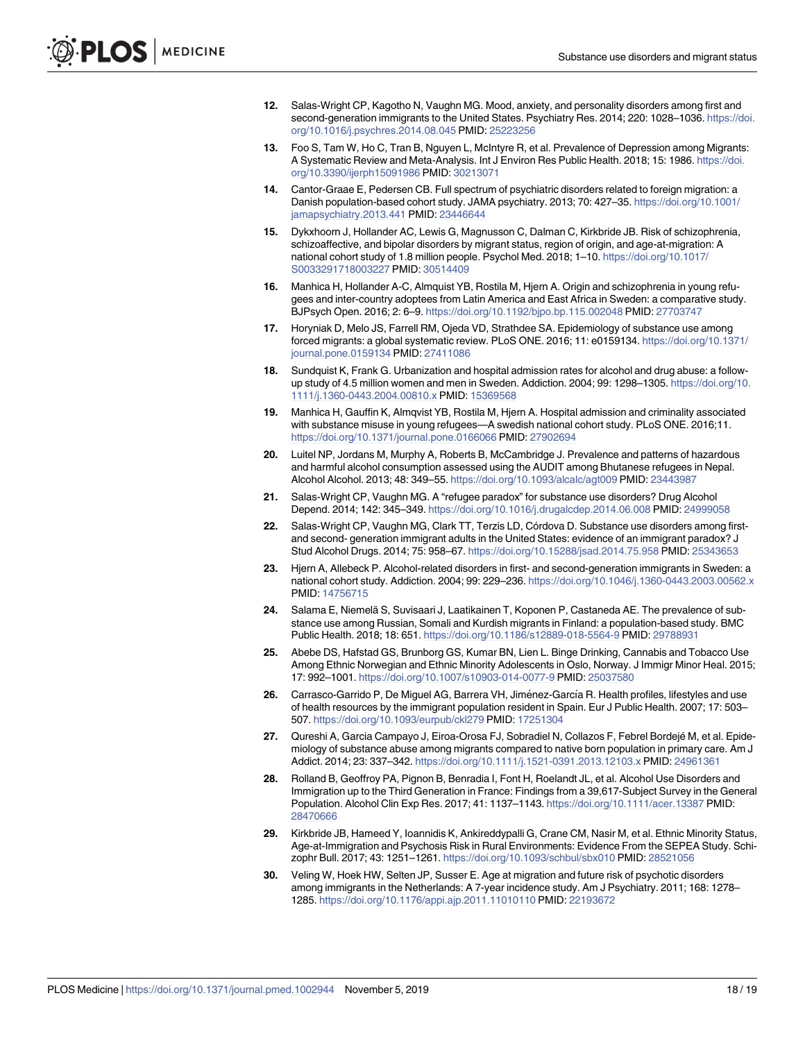- <span id="page-17-0"></span>**[12](#page-2-0).** Salas-Wright CP, Kagotho N, Vaughn MG. Mood, anxiety, and personality disorders among first and second-generation immigrants to the United States. Psychiatry Res. 2014; 220: 1028–1036. [https://doi.](https://doi.org/10.1016/j.psychres.2014.08.045) [org/10.1016/j.psychres.2014.08.045](https://doi.org/10.1016/j.psychres.2014.08.045) PMID: [25223256](http://www.ncbi.nlm.nih.gov/pubmed/25223256)
- **[13](#page-2-0).** Foo S, Tam W, Ho C, Tran B, Nguyen L, McIntyre R, et al. Prevalence of Depression among Migrants: A Systematic Review and Meta-Analysis. Int J Environ Res Public Health. 2018; 15: 1986. [https://doi.](https://doi.org/10.3390/ijerph15091986) [org/10.3390/ijerph15091986](https://doi.org/10.3390/ijerph15091986) PMID: [30213071](http://www.ncbi.nlm.nih.gov/pubmed/30213071)
- **[14](#page-2-0).** Cantor-Graae E, Pedersen CB. Full spectrum of psychiatric disorders related to foreign migration: a Danish population-based cohort study. JAMA psychiatry. 2013; 70: 427–35. [https://doi.org/10.1001/](https://doi.org/10.1001/jamapsychiatry.2013.441) [jamapsychiatry.2013.441](https://doi.org/10.1001/jamapsychiatry.2013.441) PMID: [23446644](http://www.ncbi.nlm.nih.gov/pubmed/23446644)
- **[15](#page-3-0).** Dykxhoorn J, Hollander AC, Lewis G, Magnusson C, Dalman C, Kirkbride JB. Risk of schizophrenia, schizoaffective, and bipolar disorders by migrant status, region of origin, and age-at-migration: A national cohort study of 1.8 million people. Psychol Med. 2018; 1–10. [https://doi.org/10.1017/](https://doi.org/10.1017/S0033291718003227) [S0033291718003227](https://doi.org/10.1017/S0033291718003227) PMID: [30514409](http://www.ncbi.nlm.nih.gov/pubmed/30514409)
- **[16](#page-2-0).** Manhica H, Hollander A-C, Almquist YB, Rostila M, Hjern A. Origin and schizophrenia in young refugees and inter-country adoptees from Latin America and East Africa in Sweden: a comparative study. BJPsych Open. 2016; 2: 6–9. <https://doi.org/10.1192/bjpo.bp.115.002048> PMID: [27703747](http://www.ncbi.nlm.nih.gov/pubmed/27703747)
- **[17](#page-2-0).** Horyniak D, Melo JS, Farrell RM, Ojeda VD, Strathdee SA. Epidemiology of substance use among forced migrants: a global systematic review. PLoS ONE. 2016; 11: e0159134. [https://doi.org/10.1371/](https://doi.org/10.1371/journal.pone.0159134) [journal.pone.0159134](https://doi.org/10.1371/journal.pone.0159134) PMID: [27411086](http://www.ncbi.nlm.nih.gov/pubmed/27411086)
- **[18](#page-2-0).** Sundquist K, Frank G. Urbanization and hospital admission rates for alcohol and drug abuse: a followup study of 4.5 million women and men in Sweden. Addiction. 2004; 99: 1298–1305. [https://doi.org/10.](https://doi.org/10.1111/j.1360-0443.2004.00810.x) [1111/j.1360-0443.2004.00810.x](https://doi.org/10.1111/j.1360-0443.2004.00810.x) PMID: [15369568](http://www.ncbi.nlm.nih.gov/pubmed/15369568)
- **[19](#page-2-0).** Manhica H, Gauffin K, Almqvist YB, Rostila M, Hjern A. Hospital admission and criminality associated with substance misuse in young refugees—A swedish national cohort study. PLoS ONE. 2016;11. <https://doi.org/10.1371/journal.pone.0166066> PMID: [27902694](http://www.ncbi.nlm.nih.gov/pubmed/27902694)
- **[20](#page-2-0).** Luitel NP, Jordans M, Murphy A, Roberts B, McCambridge J. Prevalence and patterns of hazardous and harmful alcohol consumption assessed using the AUDIT among Bhutanese refugees in Nepal. Alcohol Alcohol. 2013; 48: 349–55. <https://doi.org/10.1093/alcalc/agt009> PMID: [23443987](http://www.ncbi.nlm.nih.gov/pubmed/23443987)
- **[21](#page-2-0).** Salas-Wright CP, Vaughn MG. A "refugee paradox" for substance use disorders? Drug Alcohol Depend. 2014; 142: 345–349. <https://doi.org/10.1016/j.drugalcdep.2014.06.008> PMID: [24999058](http://www.ncbi.nlm.nih.gov/pubmed/24999058)
- **[22](#page-2-0).** Salas-Wright CP, Vaughn MG, Clark TT, Terzis LD, Córdova D. Substance use disorders among firstand second- generation immigrant adults in the United States: evidence of an immigrant paradox? J Stud Alcohol Drugs. 2014; 75: 958–67. <https://doi.org/10.15288/jsad.2014.75.958> PMID: [25343653](http://www.ncbi.nlm.nih.gov/pubmed/25343653)
- **[23](#page-2-0).** Hjern A, Allebeck P. Alcohol-related disorders in first- and second-generation immigrants in Sweden: a national cohort study. Addiction. 2004; 99: 229–236. <https://doi.org/10.1046/j.1360-0443.2003.00562.x> PMID: [14756715](http://www.ncbi.nlm.nih.gov/pubmed/14756715)
- **[24](#page-3-0).** Salama E, Niemelä S, Suvisaari J, Laatikainen T, Koponen P, Castaneda AE. The prevalence of substance use among Russian, Somali and Kurdish migrants in Finland: a population-based study. BMC Public Health. 2018; 18: 651. <https://doi.org/10.1186/s12889-018-5564-9> PMID: [29788931](http://www.ncbi.nlm.nih.gov/pubmed/29788931)
- **[25](#page-2-0).** Abebe DS, Hafstad GS, Brunborg GS, Kumar BN, Lien L. Binge Drinking, Cannabis and Tobacco Use Among Ethnic Norwegian and Ethnic Minority Adolescents in Oslo, Norway. J Immigr Minor Heal. 2015; 17: 992–1001. <https://doi.org/10.1007/s10903-014-0077-9> PMID: [25037580](http://www.ncbi.nlm.nih.gov/pubmed/25037580)
- **[26](#page-2-0).** Carrasco-Garrido P, De Miquel AG, Barrera VH, Jiménez-García R. Health profiles, lifestyles and use of health resources by the immigrant population resident in Spain. Eur J Public Health. 2007; 17: 503– 507. <https://doi.org/10.1093/eurpub/ckl279> PMID: [17251304](http://www.ncbi.nlm.nih.gov/pubmed/17251304)
- [27](#page-2-0). Qureshi A, Garcia Campayo J, Eiroa-Orosa FJ, Sobradiel N, Collazos F, Febrel Bordejé M, et al. Epidemiology of substance abuse among migrants compared to native born population in primary care. Am J Addict. 2014; 23: 337–342. <https://doi.org/10.1111/j.1521-0391.2013.12103.x> PMID: [24961361](http://www.ncbi.nlm.nih.gov/pubmed/24961361)
- **[28](#page-2-0).** Rolland B, Geoffroy PA, Pignon B, Benradia I, Font H, Roelandt JL, et al. Alcohol Use Disorders and Immigration up to the Third Generation in France: Findings from a 39,617-Subject Survey in the General Population. Alcohol Clin Exp Res. 2017; 41: 1137–1143. <https://doi.org/10.1111/acer.13387> PMID: [28470666](http://www.ncbi.nlm.nih.gov/pubmed/28470666)
- **[29](#page-3-0).** Kirkbride JB, Hameed Y, Ioannidis K, Ankireddypalli G, Crane CM, Nasir M, et al. Ethnic Minority Status, Age-at-Immigration and Psychosis Risk in Rural Environments: Evidence From the SEPEA Study. Schizophr Bull. 2017; 43: 1251–1261. <https://doi.org/10.1093/schbul/sbx010> PMID: [28521056](http://www.ncbi.nlm.nih.gov/pubmed/28521056)
- **30.** Veling W, Hoek HW, Selten JP, Susser E. Age at migration and future risk of psychotic disorders among immigrants in the Netherlands: A 7-year incidence study. Am J Psychiatry. 2011; 168: 1278– 1285. <https://doi.org/10.1176/appi.ajp.2011.11010110> PMID: [22193672](http://www.ncbi.nlm.nih.gov/pubmed/22193672)